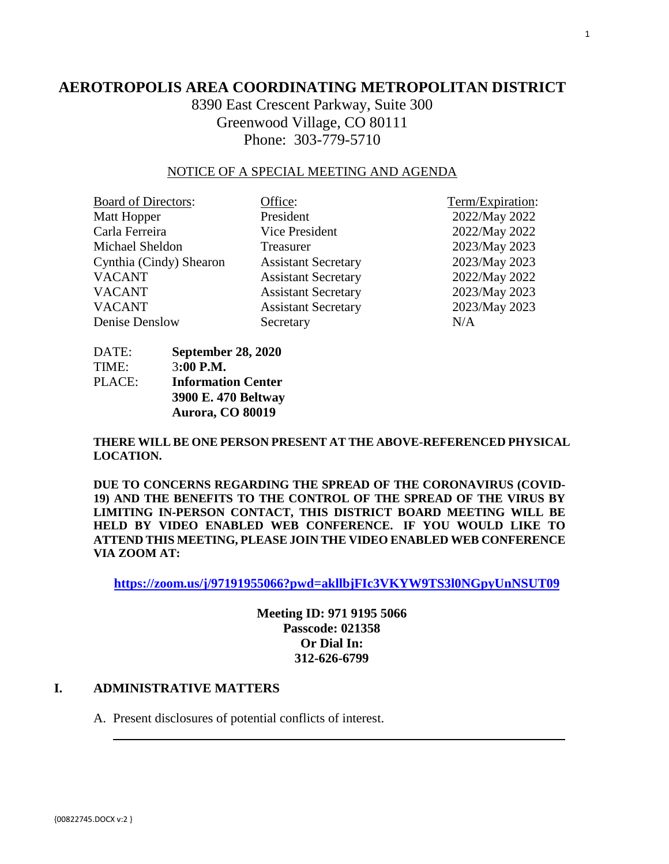## **AEROTROPOLIS AREA COORDINATING METROPOLITAN DISTRICT**

8390 East Crescent Parkway, Suite 300 Greenwood Village, CO 80111 Phone: 303-779-5710

#### NOTICE OF A SPECIAL MEETING AND AGENDA

| <b>Board of Directors:</b> | Office:                    | Term/Expiration: |
|----------------------------|----------------------------|------------------|
| Matt Hopper                | President                  | 2022/May 2022    |
| Carla Ferreira             | Vice President             | 2022/May 2022    |
| Michael Sheldon            | Treasurer                  | 2023/May 2023    |
| Cynthia (Cindy) Shearon    | <b>Assistant Secretary</b> | 2023/May 2023    |
| <b>VACANT</b>              | <b>Assistant Secretary</b> | 2022/May 2022    |
| <b>VACANT</b>              | <b>Assistant Secretary</b> | 2023/May 2023    |
| <b>VACANT</b>              | <b>Assistant Secretary</b> | 2023/May 2023    |
| Denise Denslow             | Secretary                  | N/A              |

DATE: **September 28, 2020** TIME: 3**:00 P.M.** PLACE: **Information Center 3900 E. 470 Beltway Aurora, CO 80019** 

**THERE WILL BE ONE PERSON PRESENT AT THE ABOVE-REFERENCED PHYSICAL LOCATION.**

**DUE TO CONCERNS REGARDING THE SPREAD OF THE CORONAVIRUS (COVID-19) AND THE BENEFITS TO THE CONTROL OF THE SPREAD OF THE VIRUS BY LIMITING IN-PERSON CONTACT, THIS DISTRICT BOARD MEETING WILL BE HELD BY VIDEO ENABLED WEB CONFERENCE. IF YOU WOULD LIKE TO ATTEND THIS MEETING, PLEASE JOIN THE VIDEO ENABLED WEB CONFERENCE VIA ZOOM AT:**

**https://zoom.us/j/97191955066?pwd=akllbjFIc3VKYW9TS3l0NGpyUnNSUT09**

**Meeting ID: 971 9195 5066 Passcode: 021358 Or Dial In: 312-626-6799**

#### **I. ADMINISTRATIVE MATTERS**

A. Present disclosures of potential conflicts of interest.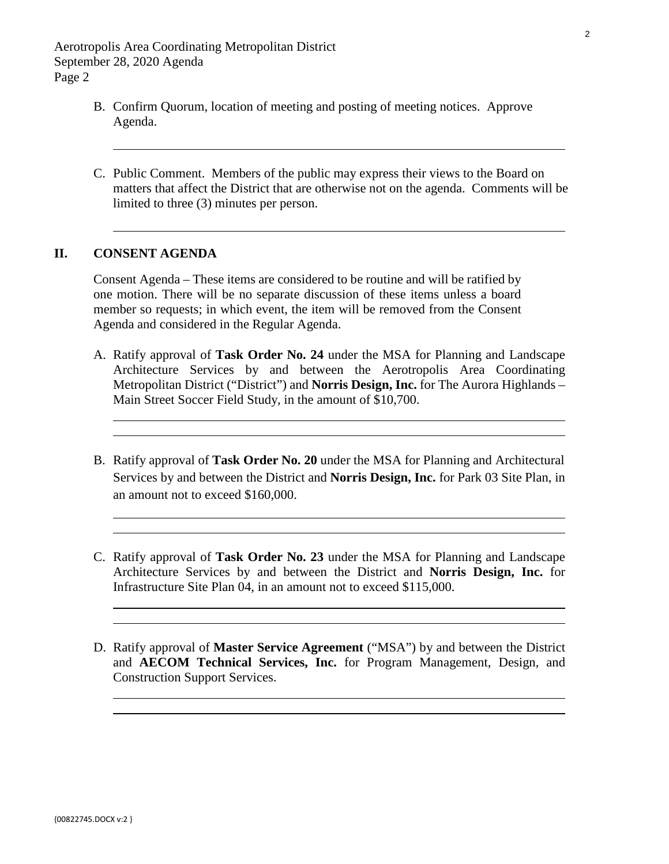- B. Confirm Quorum, location of meeting and posting of meeting notices. Approve Agenda.
- C. Public Comment. Members of the public may express their views to the Board on matters that affect the District that are otherwise not on the agenda. Comments will be limited to three (3) minutes per person.

#### **II. CONSENT AGENDA**

 $\overline{\phantom{0}}$ 

Consent Agenda – These items are considered to be routine and will be ratified by one motion. There will be no separate discussion of these items unless a board member so requests; in which event, the item will be removed from the Consent Agenda and considered in the Regular Agenda.

- A. Ratify approval of **Task Order No. 24** under the MSA for Planning and Landscape Architecture Services by and between the Aerotropolis Area Coordinating Metropolitan District ("District") and **Norris Design, Inc.** for The Aurora Highlands – Main Street Soccer Field Study, in the amount of \$10,700.
- B. Ratify approval of **Task Order No. 20** under the MSA for Planning and Architectural Services by and between the District and **Norris Design, Inc.** for Park 03 Site Plan, in an amount not to exceed \$160,000.
- C. Ratify approval of **Task Order No. 23** under the MSA for Planning and Landscape Architecture Services by and between the District and **Norris Design, Inc.** for Infrastructure Site Plan 04, in an amount not to exceed \$115,000.
- D. Ratify approval of **Master Service Agreement** ("MSA") by and between the District and **AECOM Technical Services, Inc.** for Program Management, Design, and Construction Support Services.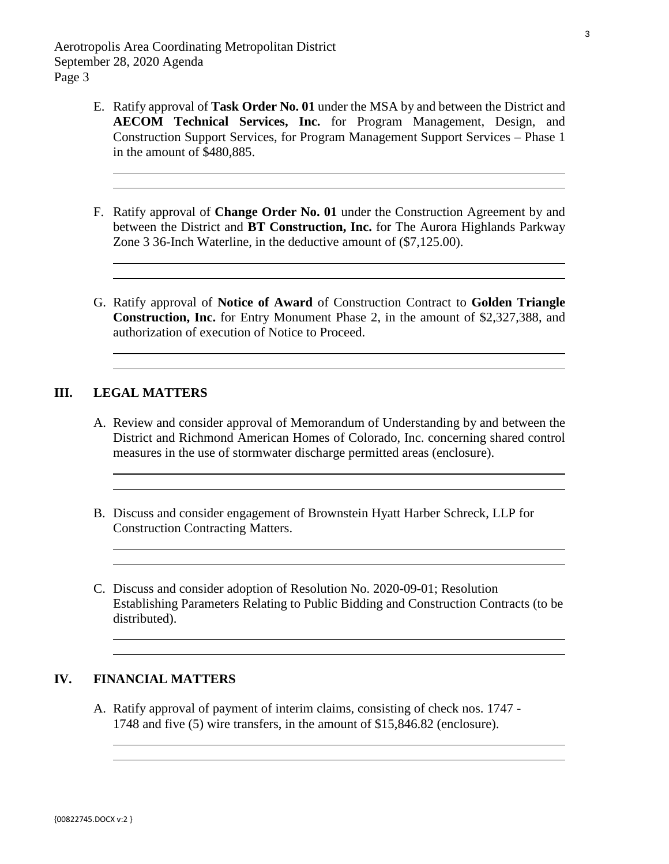- E. Ratify approval of **Task Order No. 01** under the MSA by and between the District and **AECOM Technical Services, Inc.** for Program Management, Design, and Construction Support Services, for Program Management Support Services – Phase 1 in the amount of \$480,885.
- F. Ratify approval of **Change Order No. 01** under the Construction Agreement by and between the District and **BT Construction, Inc.** for The Aurora Highlands Parkway Zone 3 36-Inch Waterline, in the deductive amount of (\$7,125.00).
- G. Ratify approval of **Notice of Award** of Construction Contract to **Golden Triangle Construction, Inc.** for Entry Monument Phase 2, in the amount of \$2,327,388, and authorization of execution of Notice to Proceed.

#### **III. LEGAL MATTERS**

- A. [Review and consider approval of Memorandum of Understanding by and between the](#page-16-0)  District and Richmond American Homes of Colorado, Inc. concerning shared control measures in the use of stormwater discharge permitted areas (enclosure).
- B. Discuss and consider engagement of Brownstein Hyatt Harber Schreck, LLP for Construction Contracting Matters.
- C. Discuss and consider adoption of Resolution No. 2020-09-01; Resolution Establishing Parameters Relating to Public Bidding and Construction Contracts (to be distributed).

### **IV. FINANCIAL MATTERS**

A[. Ratify approval of payment of interim claims, consisting of check nos. 1747 -](#page-21-0)  1748 and five (5) wire transfers, in the amount of \$15,846.82 (enclosure).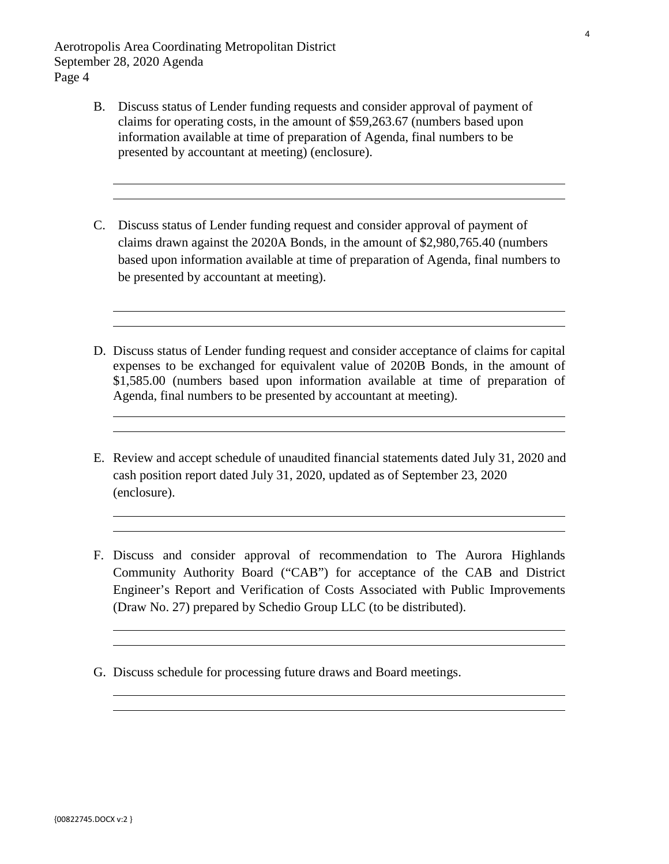- B[. Discuss status of Lender funding requests and consider approval of payment of](#page-22-0)  claims for operating costs, in the amount of \$59,263.67 (numbers based upon information available at time of preparation of Agenda, final numbers to be presented by accountant at meeting) (enclosure).
- C. Discuss status of Lender funding request and consider approval of payment of claims drawn against the 2020A Bonds, in the amount of \$2,980,765.40 (numbers based upon information available at time of preparation of Agenda, final numbers to be presented by accountant at meeting).
- D. Discuss status of Lender funding request and consider acceptance of claims for capital expenses to be exchanged for equivalent value of 2020B Bonds, in the amount of \$1,585.00 (numbers based upon information available at time of preparation of Agenda, final numbers to be presented by accountant at meeting).
- E. Review and accept schedule of unaudited financial statements dated July 31, 2020 and [cash position report dated July 31, 2020, updated as of September 23, 2020](#page-25-0)  (enclosure).
- F. Discuss and consider approval of recommendation to The Aurora Highlands Community Authority Board ("CAB") for acceptance of the CAB and District Engineer's Report and Verification of Costs Associated with Public Improvements (Draw No. 27) prepared by Schedio Group LLC (to be distributed).
- G. Discuss schedule for processing future draws and Board meetings.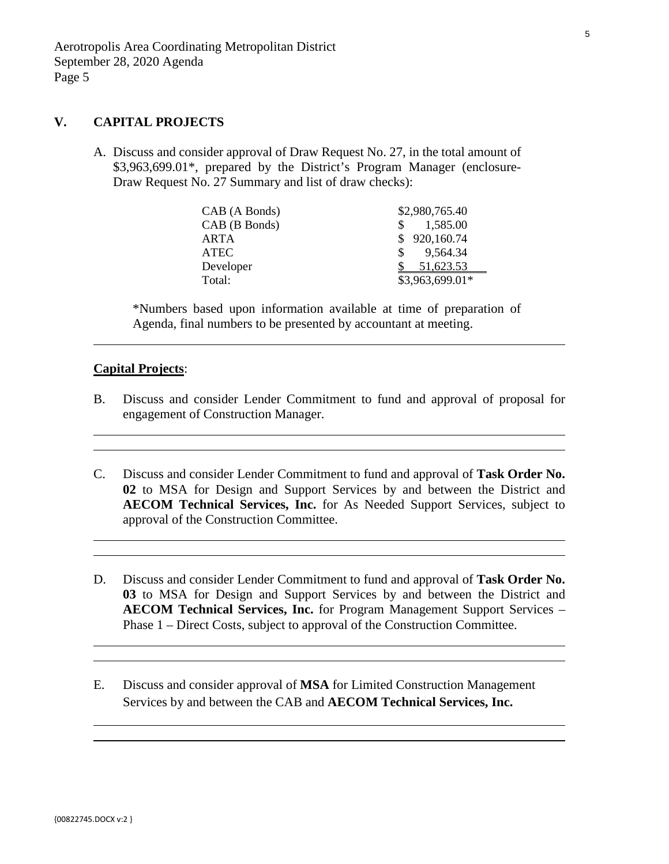#### **V. CAPITAL PROJECTS**

A. [Discuss and consider approval of Draw Request No. 27, in the total amount of](#page-35-0)  \$3,963,699.01\*, prepared by the District's Program Manager (enclosure-Draw Request No. 27 Summary and list of draw checks):

| CAB (A Bonds) | \$2,980,765.40  |
|---------------|-----------------|
| CAB (B Bonds) | 1,585.00        |
| ARTA          | \$920,160.74    |
| <b>ATEC</b>   | 9,564.34<br>S.  |
| Developer     | 51,623.53       |
| Total:        | \$3,963,699.01* |

\*Numbers based upon information available at time of preparation of Agenda, final numbers to be presented by accountant at meeting.

#### **Capital Projects**:

 $\overline{a}$ 

- B. Discuss and consider Lender Commitment to fund and approval of proposal for engagement of Construction Manager.
- C. Discuss and consider Lender Commitment to fund and approval of **Task Order No. 02** to MSA for Design and Support Services by and between the District and **AECOM Technical Services, Inc.** for As Needed Support Services, subject to approval of the Construction Committee.
- D. Discuss and consider Lender Commitment to fund and approval of **Task Order No. 03** to MSA for Design and Support Services by and between the District and **AECOM Technical Services, Inc.** for Program Management Support Services – Phase 1 – Direct Costs, subject to approval of the Construction Committee.
- E. Discuss and consider approval of **MSA** for Limited Construction Management Services by and between the CAB and **AECOM Technical Services, Inc.**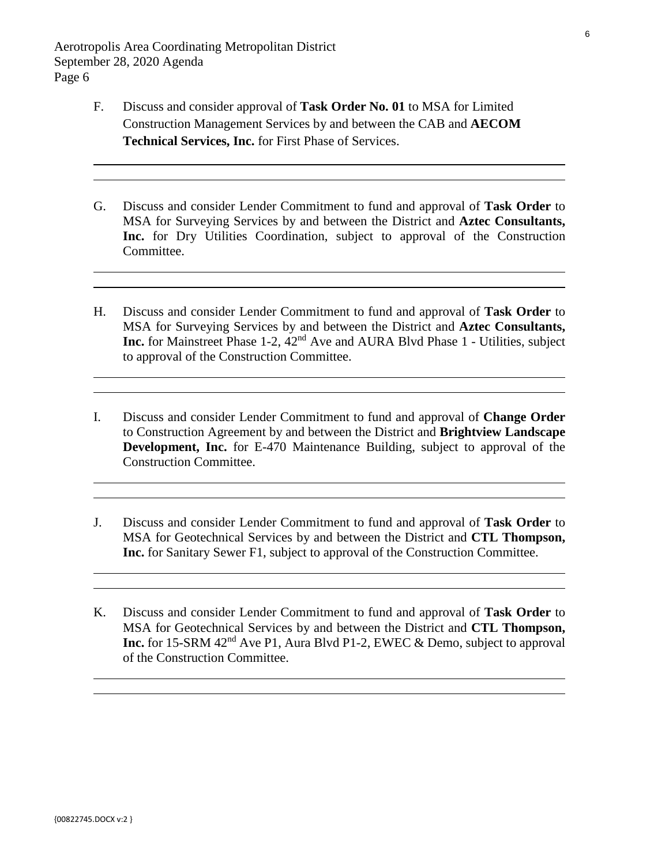$\overline{a}$ 

- F. Discuss and consider approval of **Task Order No. 01** to MSA for Limited Construction Management Services by and between the CAB and **AECOM Technical Services, Inc.** for First Phase of Services.
- G. Discuss and consider Lender Commitment to fund and approval of **Task Order** to MSA for Surveying Services by and between the District and **Aztec Consultants, Inc.** for Dry Utilities Coordination, subject to approval of the Construction Committee.
- H. Discuss and consider Lender Commitment to fund and approval of **Task Order** to MSA for Surveying Services by and between the District and **Aztec Consultants, Inc.** for Mainstreet Phase 1-2, 42nd Ave and AURA Blvd Phase 1 - Utilities, subject to approval of the Construction Committee.
- I. Discuss and consider Lender Commitment to fund and approval of **Change Order** to Construction Agreement by and between the District and **Brightview Landscape Development, Inc.** for E-470 Maintenance Building, subject to approval of the Construction Committee.
- J. Discuss and consider Lender Commitment to fund and approval of **Task Order** to MSA for Geotechnical Services by and between the District and **CTL Thompson, Inc.** for Sanitary Sewer F1, subject to approval of the Construction Committee.
- K. Discuss and consider Lender Commitment to fund and approval of **Task Order** to MSA for Geotechnical Services by and between the District and **CTL Thompson, Inc.** for 15-SRM 42<sup>nd</sup> Ave P1, Aura Blvd P1-2, EWEC & Demo, subject to approval of the Construction Committee.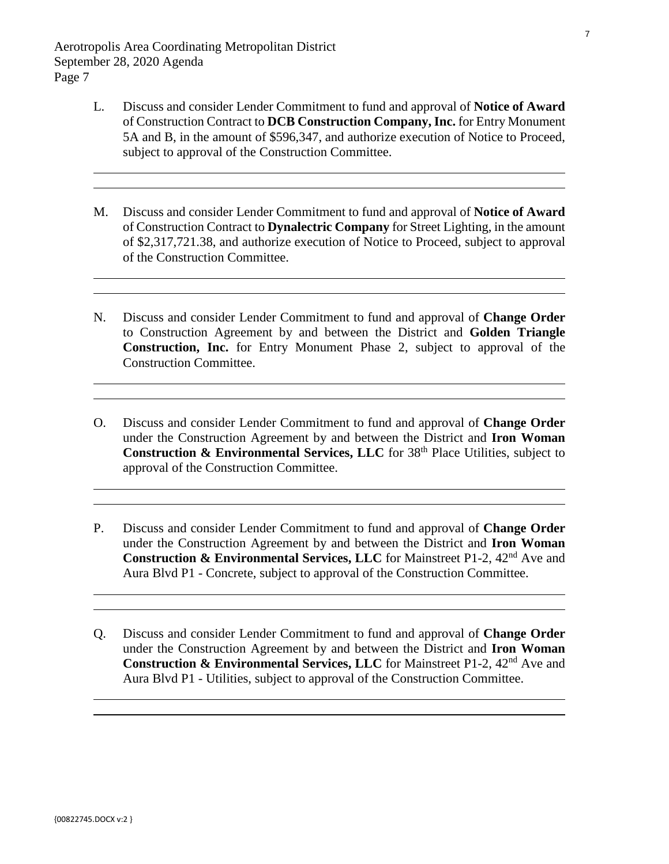- L. Discuss and consider Lender Commitment to fund and approval of **Notice of Award** of Construction Contract to **DCB Construction Company, Inc.** for Entry Monument 5A and B, in the amount of \$596,347, and authorize execution of Notice to Proceed, subject to approval of the Construction Committee.
- M. Discuss and consider Lender Commitment to fund and approval of **Notice of Award** of Construction Contract to **Dynalectric Company** for Street Lighting, in the amount of \$2,317,721.38, and authorize execution of Notice to Proceed, subject to approval of the Construction Committee.
- N. Discuss and consider Lender Commitment to fund and approval of **Change Order** to Construction Agreement by and between the District and **Golden Triangle Construction, Inc.** for Entry Monument Phase 2, subject to approval of the Construction Committee.
- O. Discuss and consider Lender Commitment to fund and approval of **Change Order**  under the Construction Agreement by and between the District and **Iron Woman Construction & Environmental Services, LLC** for 38<sup>th</sup> Place Utilities, subject to approval of the Construction Committee.
- P. Discuss and consider Lender Commitment to fund and approval of **Change Order**  under the Construction Agreement by and between the District and **Iron Woman Construction & Environmental Services, LLC** for Mainstreet P1-2, 42<sup>nd</sup> Ave and Aura Blvd P1 - Concrete, subject to approval of the Construction Committee.
- Q. Discuss and consider Lender Commitment to fund and approval of **Change Order**  under the Construction Agreement by and between the District and **Iron Woman Construction & Environmental Services, LLC** for Mainstreet P1-2, 42<sup>nd</sup> Ave and Aura Blvd P1 - Utilities, subject to approval of the Construction Committee.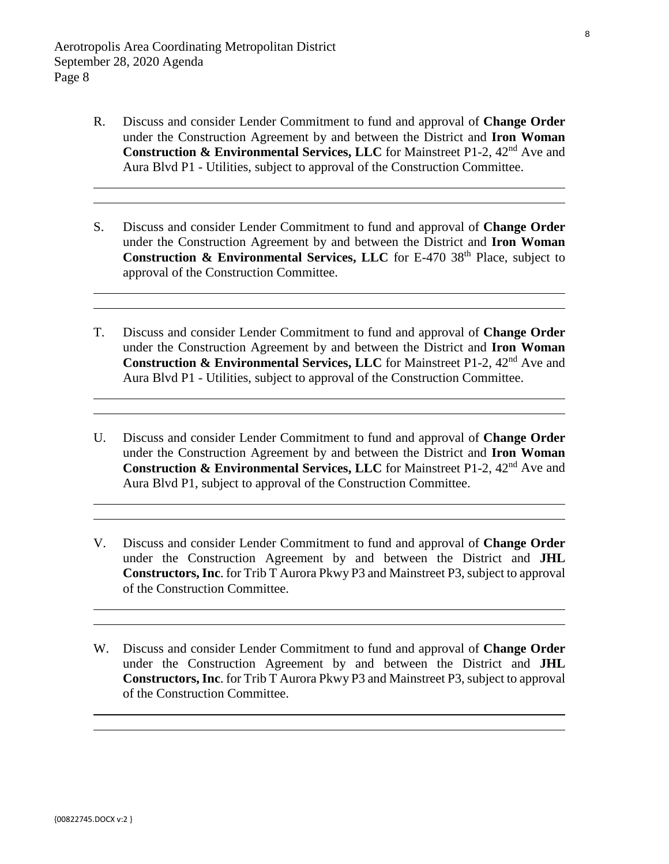- R. Discuss and consider Lender Commitment to fund and approval of **Change Order**  under the Construction Agreement by and between the District and **Iron Woman Construction & Environmental Services, LLC** for Mainstreet P1-2, 42<sup>nd</sup> Ave and Aura Blvd P1 - Utilities, subject to approval of the Construction Committee.
- S. Discuss and consider Lender Commitment to fund and approval of **Change Order**  under the Construction Agreement by and between the District and **Iron Woman Construction & Environmental Services, LLC** for E-470 38<sup>th</sup> Place, subject to approval of the Construction Committee.
- T. Discuss and consider Lender Commitment to fund and approval of **Change Order**  under the Construction Agreement by and between the District and **Iron Woman Construction & Environmental Services, LLC** for Mainstreet P1-2, 42<sup>nd</sup> Ave and Aura Blvd P1 - Utilities, subject to approval of the Construction Committee.
- U. Discuss and consider Lender Commitment to fund and approval of **Change Order**  under the Construction Agreement by and between the District and **Iron Woman Construction & Environmental Services, LLC** for Mainstreet P1-2, 42<sup>nd</sup> Ave and Aura Blvd P1, subject to approval of the Construction Committee.
- V. Discuss and consider Lender Commitment to fund and approval of **Change Order**  under the Construction Agreement by and between the District and **JHL Constructors, Inc**. for Trib T Aurora Pkwy P3 and Mainstreet P3, subject to approval of the Construction Committee.
- W. Discuss and consider Lender Commitment to fund and approval of **Change Order**  under the Construction Agreement by and between the District and **JHL Constructors, Inc**. for Trib T Aurora Pkwy P3 and Mainstreet P3, subject to approval of the Construction Committee.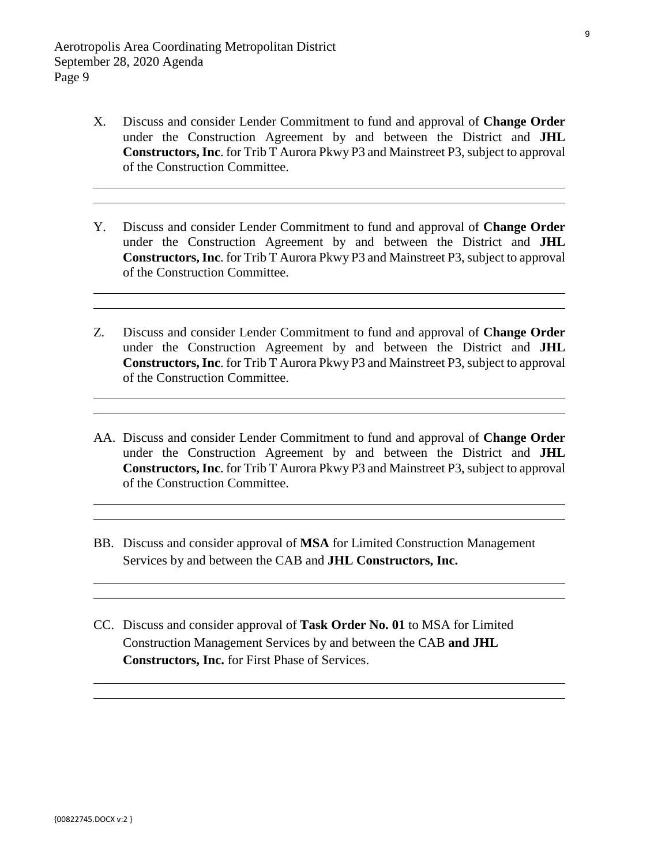- X. Discuss and consider Lender Commitment to fund and approval of **Change Order**  under the Construction Agreement by and between the District and **JHL Constructors, Inc**. for Trib T Aurora Pkwy P3 and Mainstreet P3, subject to approval of the Construction Committee.
- Y. Discuss and consider Lender Commitment to fund and approval of **Change Order**  under the Construction Agreement by and between the District and **JHL Constructors, Inc**. for Trib T Aurora Pkwy P3 and Mainstreet P3, subject to approval of the Construction Committee.
- Z. Discuss and consider Lender Commitment to fund and approval of **Change Order**  under the Construction Agreement by and between the District and **JHL Constructors, Inc**. for Trib T Aurora Pkwy P3 and Mainstreet P3, subject to approval of the Construction Committee.
- AA. Discuss and consider Lender Commitment to fund and approval of **Change Order**  under the Construction Agreement by and between the District and **JHL Constructors, Inc**. for Trib T Aurora Pkwy P3 and Mainstreet P3, subject to approval of the Construction Committee.
- BB. Discuss and consider approval of **MSA** for Limited Construction Management Services by and between the CAB and **JHL Constructors, Inc.**
- CC. Discuss and consider approval of **Task Order No. 01** to MSA for Limited Construction Management Services by and between the CAB **and JHL Constructors, Inc.** for First Phase of Services.

 $\overline{a}$  $\overline{a}$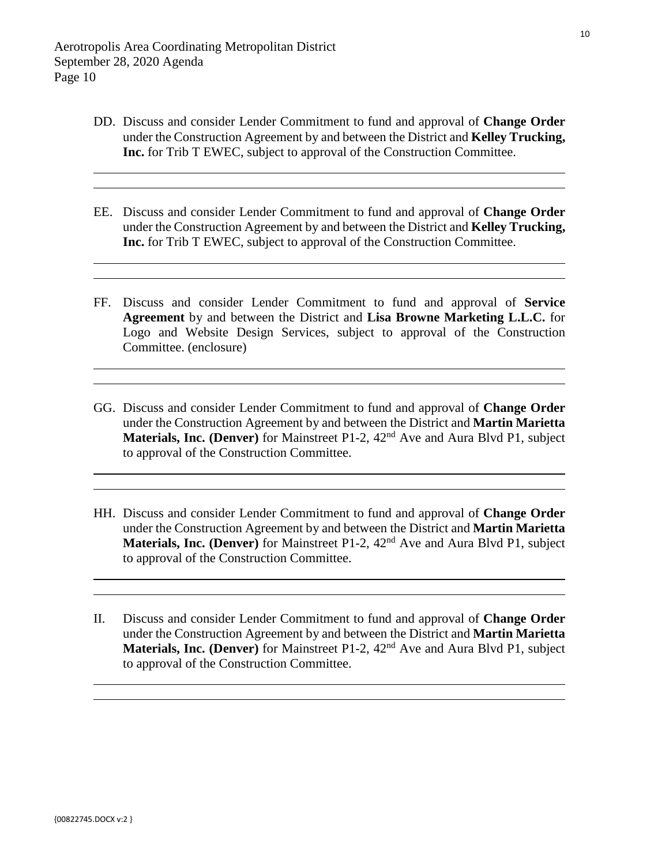- DD. Discuss and consider Lender Commitment to fund and approval of **Change Order** under the Construction Agreement by and between the District and **Kelley Trucking, Inc.** for Trib T EWEC, subject to approval of the Construction Committee.
- EE. Discuss and consider Lender Commitment to fund and approval of **Change Order** under the Construction Agreement by and between the District and **Kelley Trucking, Inc.** for Trib T EWEC, subject to approval of the Construction Committee.
- FF. Discuss and consider Lender Commitment to fund and approval of **Service Agreement** by and between the District and **Lisa Browne Marketing L.L.C.** for [Logo and Website Design Services, subject to approval of the Construction](#page-37-0)  Committee. (enclosure)
- GG. Discuss and consider Lender Commitment to fund and approval of **Change Order** under the Construction Agreement by and between the District and **Martin Marietta Materials, Inc. (Denver)** for Mainstreet P1-2, 42nd Ave and Aura Blvd P1, subject to approval of the Construction Committee.
- HH. Discuss and consider Lender Commitment to fund and approval of **Change Order** under the Construction Agreement by and between the District and **Martin Marietta Materials, Inc. (Denver)** for Mainstreet P1-2, 42<sup>nd</sup> Ave and Aura Blvd P1, subject to approval of the Construction Committee.
- II. Discuss and consider Lender Commitment to fund and approval of **Change Order** under the Construction Agreement by and between the District and **Martin Marietta Materials, Inc. (Denver)** for Mainstreet P1-2, 42<sup>nd</sup> Ave and Aura Blvd P1, subject to approval of the Construction Committee.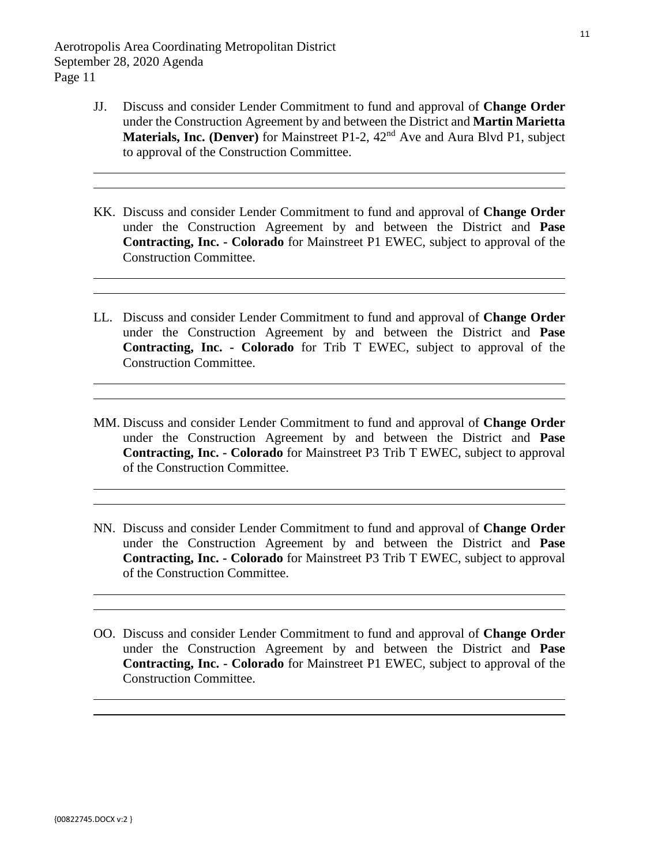- JJ. Discuss and consider Lender Commitment to fund and approval of **Change Order** under the Construction Agreement by and between the District and **Martin Marietta Materials, Inc. (Denver)** for Mainstreet P1-2, 42nd Ave and Aura Blvd P1, subject to approval of the Construction Committee.
- KK. Discuss and consider Lender Commitment to fund and approval of **Change Order** under the Construction Agreement by and between the District and **Pase Contracting, Inc. - Colorado** for Mainstreet P1 EWEC, subject to approval of the Construction Committee.
- LL. Discuss and consider Lender Commitment to fund and approval of **Change Order** under the Construction Agreement by and between the District and **Pase Contracting, Inc. - Colorado** for Trib T EWEC, subject to approval of the Construction Committee.
- MM. Discuss and consider Lender Commitment to fund and approval of **Change Order** under the Construction Agreement by and between the District and **Pase Contracting, Inc. - Colorado** for Mainstreet P3 Trib T EWEC, subject to approval of the Construction Committee.
- NN. Discuss and consider Lender Commitment to fund and approval of **Change Order** under the Construction Agreement by and between the District and **Pase Contracting, Inc. - Colorado** for Mainstreet P3 Trib T EWEC, subject to approval of the Construction Committee.
- OO. Discuss and consider Lender Commitment to fund and approval of **Change Order** under the Construction Agreement by and between the District and **Pase Contracting, Inc. - Colorado** for Mainstreet P1 EWEC, subject to approval of the Construction Committee.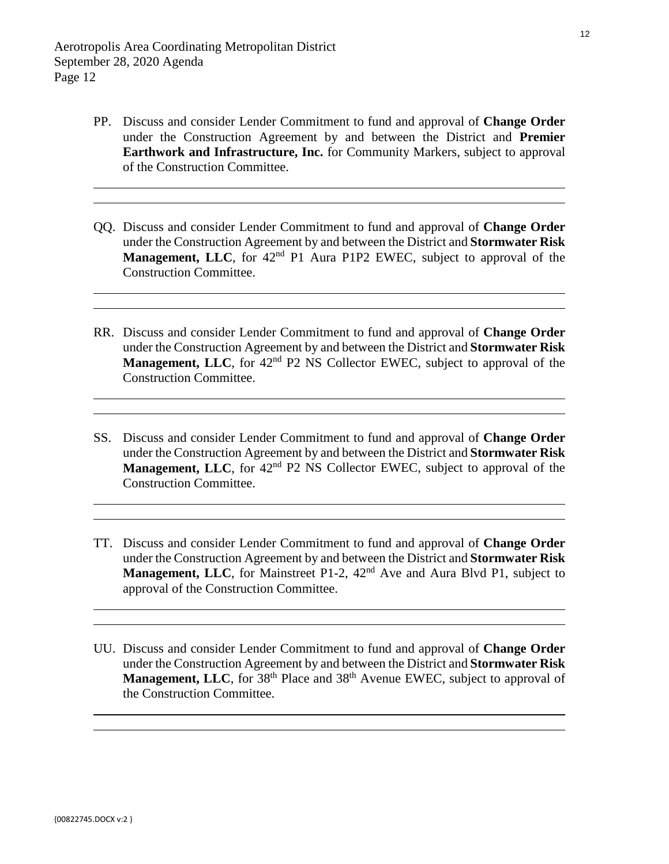- PP. Discuss and consider Lender Commitment to fund and approval of **Change Order** under the Construction Agreement by and between the District and **Premier Earthwork and Infrastructure, Inc.** for Community Markers, subject to approval of the Construction Committee.
- QQ. Discuss and consider Lender Commitment to fund and approval of **Change Order** under the Construction Agreement by and between the District and **Stormwater Risk Management, LLC**, for 42<sup>nd</sup> P1 Aura P1P2 EWEC, subject to approval of the Construction Committee.
- RR. Discuss and consider Lender Commitment to fund and approval of **Change Order** under the Construction Agreement by and between the District and **Stormwater Risk Management, LLC**, for 42<sup>nd</sup> P2 NS Collector EWEC, subject to approval of the Construction Committee.
- SS. Discuss and consider Lender Commitment to fund and approval of **Change Order** under the Construction Agreement by and between the District and **Stormwater Risk Management, LLC**, for 42<sup>nd</sup> P2 NS Collector EWEC, subject to approval of the Construction Committee.
- TT. Discuss and consider Lender Commitment to fund and approval of **Change Order** under the Construction Agreement by and between the District and **Stormwater Risk Management, LLC**, for Mainstreet P1-2, 42<sup>nd</sup> Ave and Aura Blvd P1, subject to approval of the Construction Committee.
- UU. Discuss and consider Lender Commitment to fund and approval of **Change Order** under the Construction Agreement by and between the District and **Stormwater Risk**  Management, LLC, for 38<sup>th</sup> Place and 38<sup>th</sup> Avenue EWEC, subject to approval of the Construction Committee.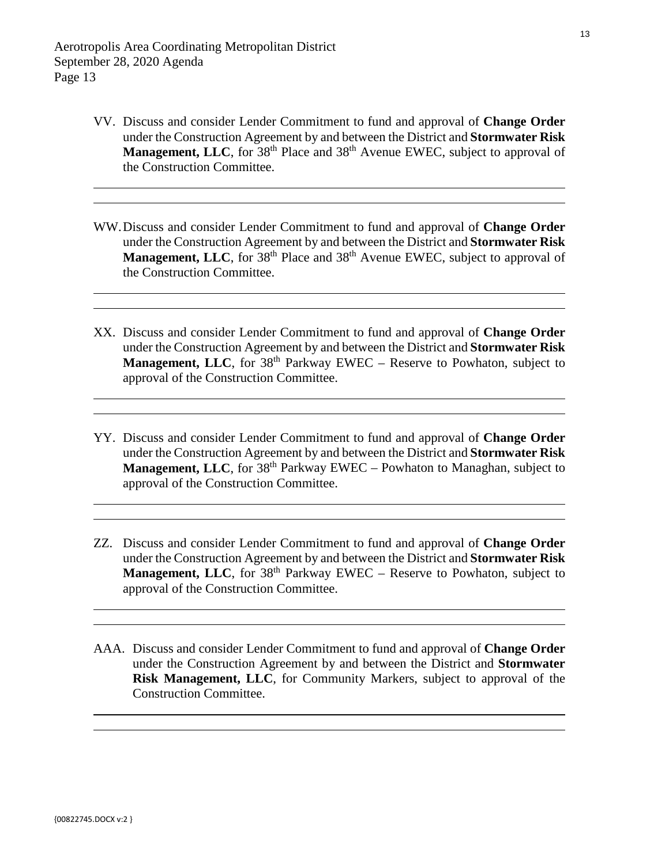- VV. Discuss and consider Lender Commitment to fund and approval of **Change Order** under the Construction Agreement by and between the District and **Stormwater Risk Management, LLC**, for 38<sup>th</sup> Place and 38<sup>th</sup> Avenue EWEC, subject to approval of the Construction Committee.
- WW.Discuss and consider Lender Commitment to fund and approval of **Change Order** under the Construction Agreement by and between the District and **Stormwater Risk**  Management, LLC, for 38<sup>th</sup> Place and 38<sup>th</sup> Avenue EWEC, subject to approval of the Construction Committee.
- XX. Discuss and consider Lender Commitment to fund and approval of **Change Order** under the Construction Agreement by and between the District and **Stormwater Risk Management, LLC**, for 38<sup>th</sup> Parkway EWEC – Reserve to Powhaton, subject to approval of the Construction Committee.
- YY. Discuss and consider Lender Commitment to fund and approval of **Change Order** under the Construction Agreement by and between the District and **Stormwater Risk Management, LLC**, for 38<sup>th</sup> Parkway EWEC – Powhaton to Managhan, subject to approval of the Construction Committee.
- ZZ. Discuss and consider Lender Commitment to fund and approval of **Change Order** under the Construction Agreement by and between the District and **Stormwater Risk Management, LLC**, for 38<sup>th</sup> Parkway EWEC – Reserve to Powhaton, subject to approval of the Construction Committee.
- AAA. Discuss and consider Lender Commitment to fund and approval of **Change Order** under the Construction Agreement by and between the District and **Stormwater Risk Management, LLC**, for Community Markers, subject to approval of the Construction Committee.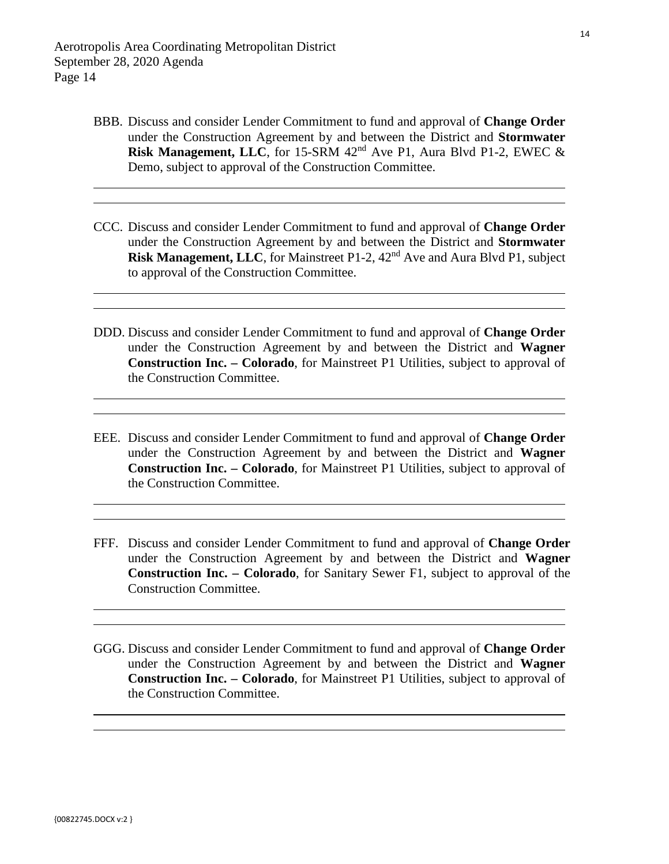- BBB. Discuss and consider Lender Commitment to fund and approval of **Change Order** under the Construction Agreement by and between the District and **Stormwater Risk Management, LLC**, for 15-SRM  $42<sup>nd</sup>$  Ave P1, Aura Blvd P1-2, EWEC  $\&$ Demo, subject to approval of the Construction Committee.
- CCC. Discuss and consider Lender Commitment to fund and approval of **Change Order** under the Construction Agreement by and between the District and **Stormwater Risk Management, LLC**, for Mainstreet P1-2, 42nd Ave and Aura Blvd P1, subject to approval of the Construction Committee.
- DDD. Discuss and consider Lender Commitment to fund and approval of **Change Order** under the Construction Agreement by and between the District and **Wagner Construction Inc. – Colorado**, for Mainstreet P1 Utilities, subject to approval of the Construction Committee.
- EEE. Discuss and consider Lender Commitment to fund and approval of **Change Order** under the Construction Agreement by and between the District and **Wagner Construction Inc. – Colorado**, for Mainstreet P1 Utilities, subject to approval of the Construction Committee.
- FFF. Discuss and consider Lender Commitment to fund and approval of **Change Order** under the Construction Agreement by and between the District and **Wagner Construction Inc. – Colorado**, for Sanitary Sewer F1, subject to approval of the Construction Committee.
- GGG. Discuss and consider Lender Commitment to fund and approval of **Change Order** under the Construction Agreement by and between the District and **Wagner Construction Inc. – Colorado**, for Mainstreet P1 Utilities, subject to approval of the Construction Committee.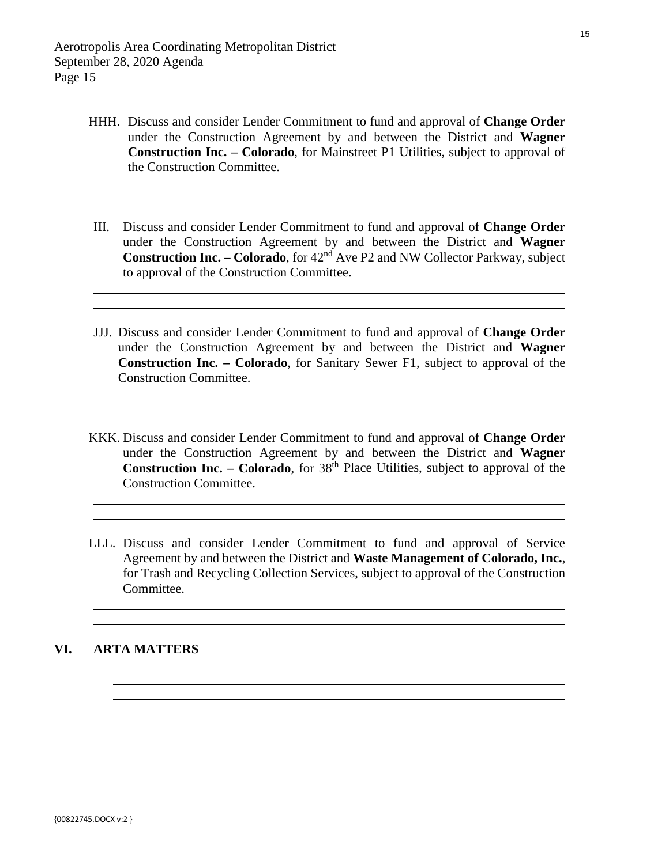- HHH. Discuss and consider Lender Commitment to fund and approval of **Change Order** under the Construction Agreement by and between the District and **Wagner Construction Inc. – Colorado**, for Mainstreet P1 Utilities, subject to approval of the Construction Committee.
- III. Discuss and consider Lender Commitment to fund and approval of **Change Order** under the Construction Agreement by and between the District and **Wagner Construction Inc. – Colorado**, for 42nd Ave P2 and NW Collector Parkway, subject to approval of the Construction Committee.
- JJJ. Discuss and consider Lender Commitment to fund and approval of **Change Order** under the Construction Agreement by and between the District and **Wagner Construction Inc. – Colorado**, for Sanitary Sewer F1, subject to approval of the Construction Committee.
- KKK. Discuss and consider Lender Commitment to fund and approval of **Change Order** under the Construction Agreement by and between the District and **Wagner Construction Inc. – Colorado**, for  $38<sup>th</sup>$  Place Utilities, subject to approval of the Construction Committee.
- LLL. Discuss and consider Lender Commitment to fund and approval of Service Agreement by and between the District and **Waste Management of Colorado, Inc.**, for Trash and Recycling Collection Services, subject to approval of the Construction Committee.

#### **VI. ARTA MATTERS**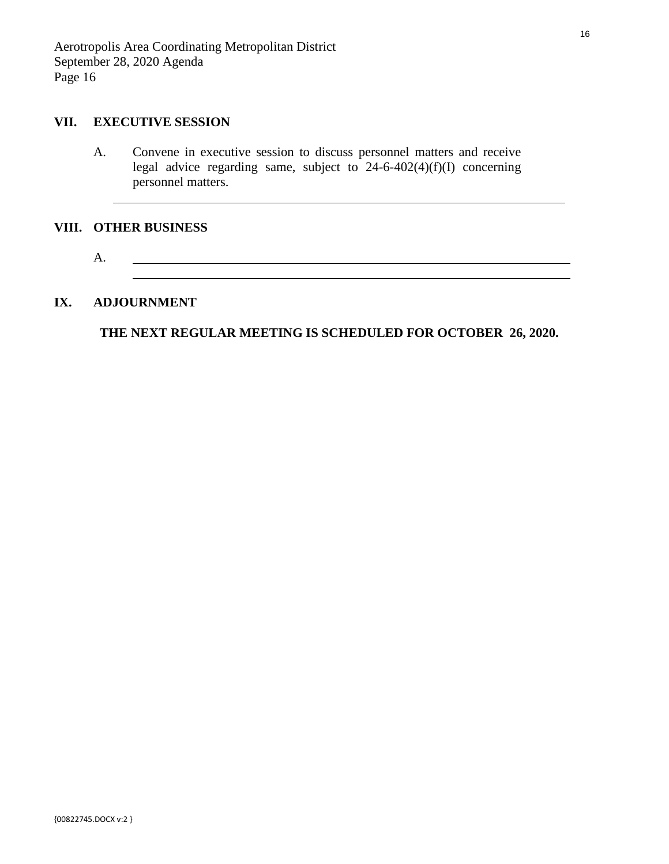### **VII. EXECUTIVE SESSION**

A. Convene in executive session to discuss personnel matters and receive legal advice regarding same, subject to  $24-6-402(4)(f)(I)$  concerning personnel matters.

#### **VIII. OTHER BUSINESS**

 $\overline{a}$ 

A. 

### **IX. ADJOURNMENT**

**THE NEXT REGULAR MEETING IS SCHEDULED FOR OCTOBER 26, 2020.**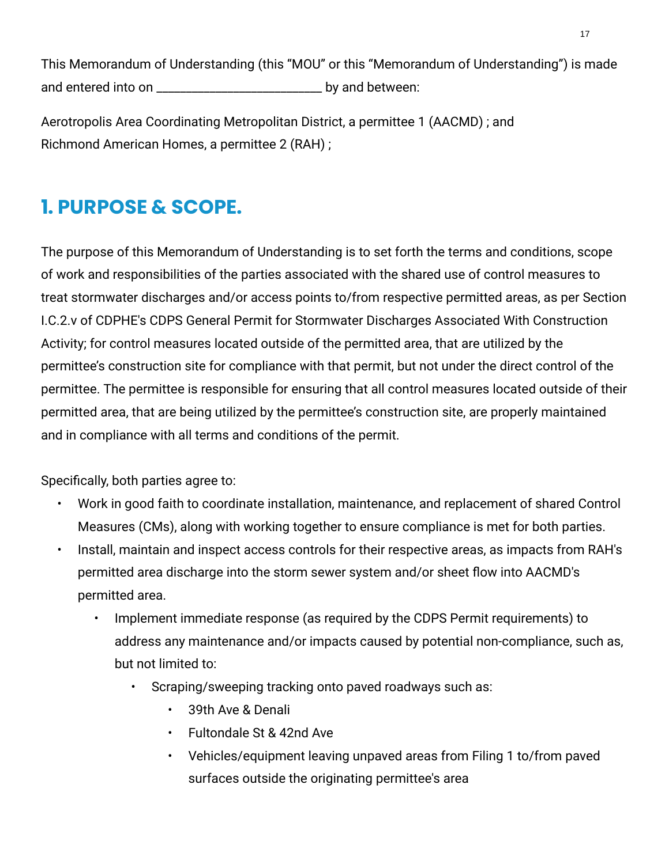<span id="page-16-0"></span>This Memorandum of Understanding (this "MOU" or this "Memorandum of Understanding") is made and entered into on \_\_\_\_\_\_\_\_\_\_\_\_\_\_\_\_\_\_\_\_\_\_\_\_\_\_\_\_ by and between:

Aerotropolis Area Coordinating Metropolitan District, a permittee 1 (AACMD) ; and Richmond American Homes, a permittee 2 (RAH) ;

# **1. PURPOSE & SCOPE.**

The purpose of this Memorandum of Understanding is to set forth the terms and conditions, scope of work and responsibilities of the parties associated with the shared use of control measures to treat stormwater discharges and/or access points to/from respective permitted areas, as per Section I.C.2.v of CDPHE's CDPS General Permit for Stormwater Discharges Associated With Construction Activity; for control measures located outside of the permitted area, that are utilized by the permittee's construction site for compliance with that permit, but not under the direct control of the permittee. The permittee is responsible for ensuring that all control measures located outside of their permitted area, that are being utilized by the permittee's construction site, are properly maintained and in compliance with all terms and conditions of the permit.

Specifically, both parties agree to:

- Work in good faith to coordinate installation, maintenance, and replacement of shared Control Measures (CMs), along with working together to ensure compliance is met for both parties.
- Install, maintain and inspect access controls for their respective areas, as impacts from RAH's permitted area discharge into the storm sewer system and/or sheet flow into AACMD's permitted area.
	- Implement immediate response (as required by the CDPS Permit requirements) to address any maintenance and/or impacts caused by potential non-compliance, such as, but not limited to:
		- Scraping/sweeping tracking onto paved roadways such as:
			- 39th Ave & Denali
			- Fultondale St & 42nd Ave
			- Vehicles/equipment leaving unpaved areas from Filing 1 to/from paved surfaces outside the originating permittee's area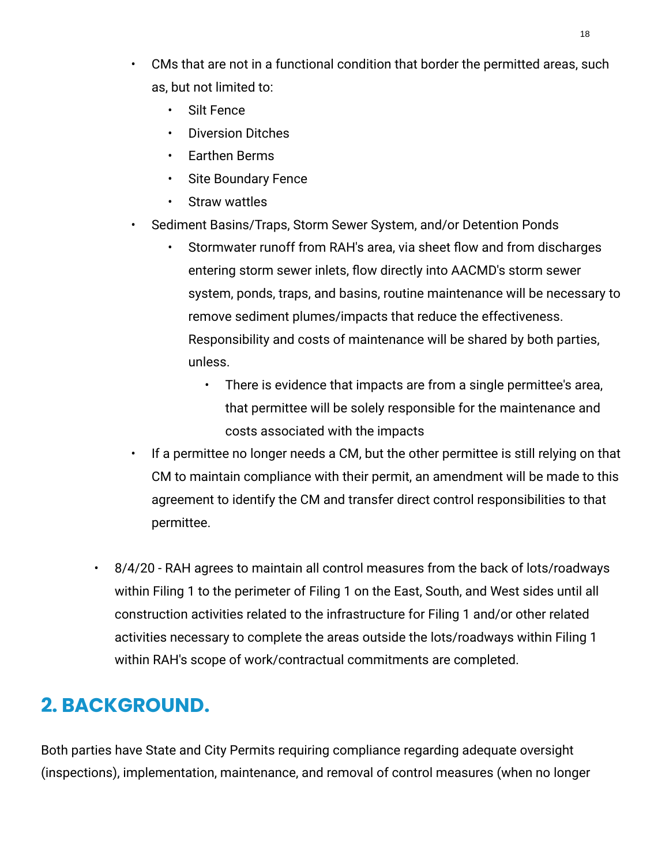- CMs that are not in a functional condition that border the permitted areas, such as, but not limited to:
	- Silt Fence
	- Diversion Ditches
	- Earthen Berms
	- Site Boundary Fence
	- Straw wattles
- Sediment Basins/Traps, Storm Sewer System, and/or Detention Ponds
	- Stormwater runoff from RAH's area, via sheet flow and from discharges entering storm sewer inlets, flow directly into AACMD's storm sewer system, ponds, traps, and basins, routine maintenance will be necessary to remove sediment plumes/impacts that reduce the effectiveness. Responsibility and costs of maintenance will be shared by both parties, unless.
		- There is evidence that impacts are from a single permittee's area, that permittee will be solely responsible for the maintenance and costs associated with the impacts
- If a permittee no longer needs a CM, but the other permittee is still relying on that CM to maintain compliance with their permit, an amendment will be made to this agreement to identify the CM and transfer direct control responsibilities to that permittee.
- 8/4/20 RAH agrees to maintain all control measures from the back of lots/roadways within Filing 1 to the perimeter of Filing 1 on the East, South, and West sides until all construction activities related to the infrastructure for Filing 1 and/or other related activities necessary to complete the areas outside the lots/roadways within Filing 1 within RAH's scope of work/contractual commitments are completed.

# **2. BACKGROUND.**

Both parties have State and City Permits requiring compliance regarding adequate oversight (inspections), implementation, maintenance, and removal of control measures (when no longer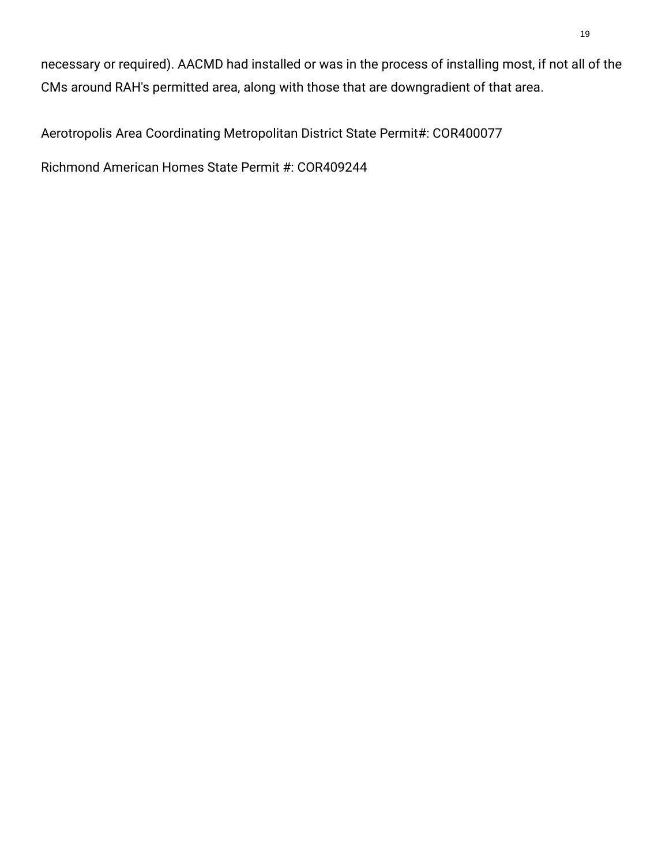necessary or required). AACMD had installed or was in the process of installing most, if not all of the CMs around RAH's permitted area, along with those that are downgradient of that area.

Aerotropolis Area Coordinating Metropolitan District State Permit#: COR400077

Richmond American Homes State Permit #: COR409244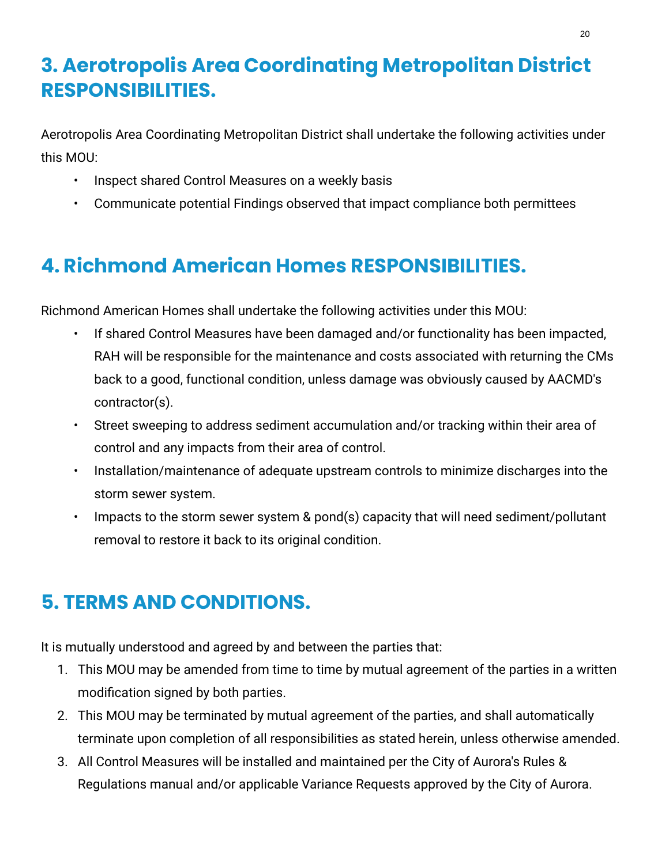# **3. Aerotropolis Area Coordinating Metropolitan District RESPONSIBILITIES.**

Aerotropolis Area Coordinating Metropolitan District shall undertake the following activities under this MOU:

- Inspect shared Control Measures on a weekly basis
- Communicate potential Findings observed that impact compliance both permittees

# **4. Richmond American Homes RESPONSIBILITIES.**

Richmond American Homes shall undertake the following activities under this MOU:

- If shared Control Measures have been damaged and/or functionality has been impacted, RAH will be responsible for the maintenance and costs associated with returning the CMs back to a good, functional condition, unless damage was obviously caused by AACMD's contractor(s).
- Street sweeping to address sediment accumulation and/or tracking within their area of control and any impacts from their area of control.
- Installation/maintenance of adequate upstream controls to minimize discharges into the storm sewer system.
- Impacts to the storm sewer system & pond(s) capacity that will need sediment/pollutant removal to restore it back to its original condition.

# **5. TERMS AND CONDITIONS.**

It is mutually understood and agreed by and between the parties that:

- 1. This MOU may be amended from time to time by mutual agreement of the parties in a written modification signed by both parties.
- 2. This MOU may be terminated by mutual agreement of the parties, and shall automatically terminate upon completion of all responsibilities as stated herein, unless otherwise amended.
- 3. All Control Measures will be installed and maintained per the City of Aurora's Rules & Regulations manual and/or applicable Variance Requests approved by the City of Aurora.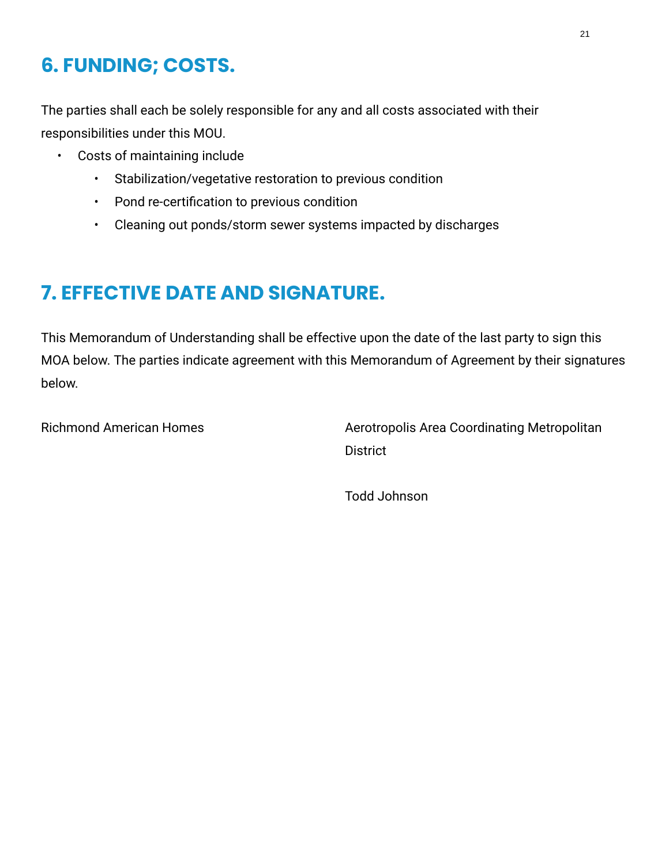# **6. FUNDING; COSTS.**

The parties shall each be solely responsible for any and all costs associated with their responsibilities under this MOU.

- Costs of maintaining include
	- Stabilization/vegetative restoration to previous condition
	- Pond re-certification to previous condition
	- Cleaning out ponds/storm sewer systems impacted by discharges

# **7. EFFECTIVE DATE AND SIGNATURE.**

This Memorandum of Understanding shall be effective upon the date of the last party to sign this MOA below. The parties indicate agreement with this Memorandum of Agreement by their signatures below.

Richmond American Homes Aerotropolis Area Coordinating Metropolitan **District** 

Todd Johnson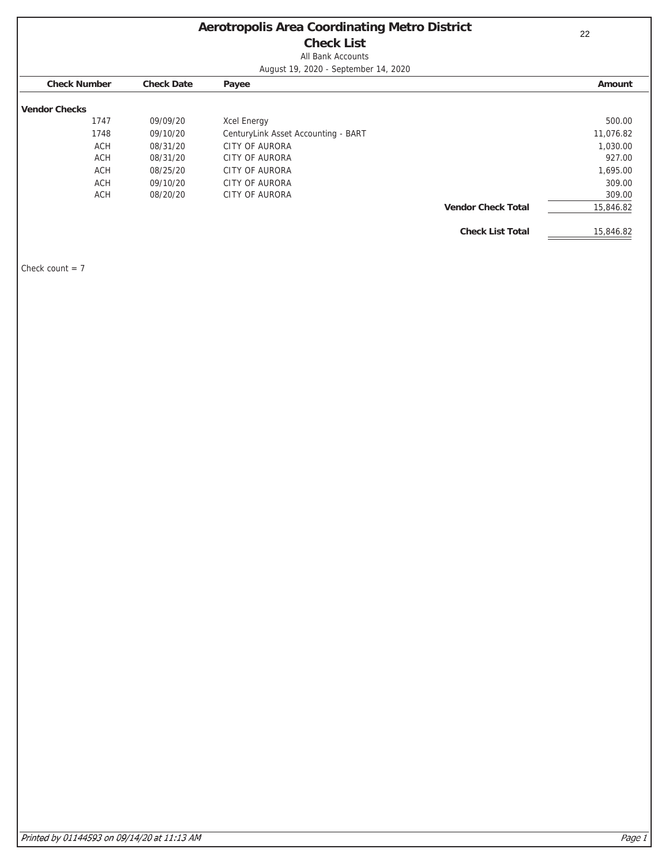# **Aerotropolis Area Coordinating Metro District**

**Check List** All Bank Accounts

August 19, 2020 - September 14, 2020

<span id="page-21-0"></span>

|                      |                   | $\tilde{}$                          |                           |           |
|----------------------|-------------------|-------------------------------------|---------------------------|-----------|
| <b>Check Number</b>  | <b>Check Date</b> | Payee                               |                           | Amount    |
|                      |                   |                                     |                           |           |
| <b>Vendor Checks</b> |                   |                                     |                           |           |
| 1747                 | 09/09/20          | <b>Xcel Energy</b>                  |                           | 500.00    |
| 1748                 | 09/10/20          | CenturyLink Asset Accounting - BART |                           | 11,076.82 |
| <b>ACH</b>           | 08/31/20          | CITY OF AURORA                      |                           | 1,030.00  |
| <b>ACH</b>           | 08/31/20          | CITY OF AURORA                      |                           | 927.00    |
| <b>ACH</b>           | 08/25/20          | CITY OF AURORA                      |                           | 1,695.00  |
| <b>ACH</b>           | 09/10/20          | <b>CITY OF AURORA</b>               |                           | 309.00    |
| <b>ACH</b>           | 08/20/20          | <b>CITY OF AURORA</b>               |                           | 309.00    |
|                      |                   |                                     | <b>Vendor Check Total</b> | 15,846.82 |
|                      |                   |                                     |                           |           |
|                      |                   |                                     | <b>Check List Total</b>   | 15,846.82 |

Check count  $= 7$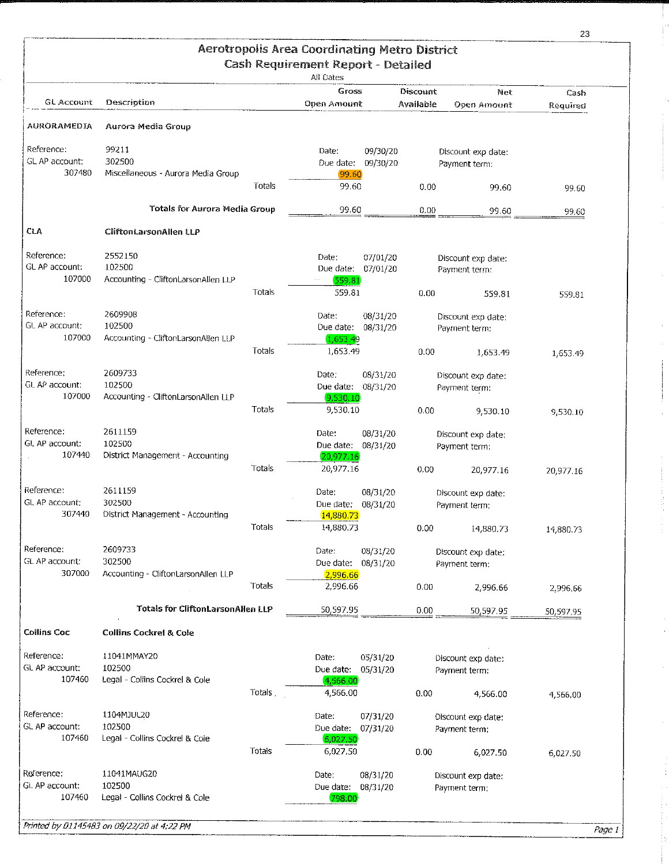<span id="page-22-0"></span>

|                              |                                          |        | <b>Aerotropolis Area Coordinating Metro District</b>   |                      |                       |                                     |           |
|------------------------------|------------------------------------------|--------|--------------------------------------------------------|----------------------|-----------------------|-------------------------------------|-----------|
|                              |                                          |        | <b>Cash Requirement Report - Detailed</b><br>All Dates |                      |                       |                                     |           |
| GL Account                   | Description                              |        | Gross<br><b>Open Amount</b>                            |                      | Discount<br>Available | Net                                 | Cash      |
| AURORAMEDIA                  |                                          |        |                                                        |                      |                       | Open Amount                         | Required  |
|                              | Aurora Media Group                       |        |                                                        |                      |                       |                                     |           |
| Reference:<br>GL AP account: | 99211<br>302500                          |        | Date:<br>Due date: 09/30/20                            | 09/30/20             |                       | Discount exp date:                  |           |
| 307480                       | Miscellaneous - Aurora Media Group       |        | 99.60                                                  |                      |                       | Payment term:                       |           |
|                              |                                          | Totals | 99.60                                                  |                      | 0.00                  | 99.60                               | 99.60     |
|                              | Totals for Aurora Media Group            |        | 99.60                                                  |                      | 0.00                  | 99.60                               | 99,60     |
| CLA                          | <b>CliftonLarsonAllen LLP</b>            |        |                                                        |                      |                       |                                     |           |
| Reference:                   | 2552150                                  |        | Date:                                                  | 07/01/20             |                       | Discount exp date:                  |           |
| GL AP account:               | 102500                                   |        | Due date;                                              | 07/01/20             |                       | Payment term:                       |           |
| 107000                       | Accounting - CliftonLarsonAllen LLP      |        | 559.81                                                 |                      |                       |                                     |           |
|                              |                                          | Totals | 559.81                                                 |                      | 0.00                  | 559.81                              | 559.81    |
| Reference:<br>GL AP account: | 2609908<br>102500                        |        | Date:                                                  | 08/31/20             |                       | Discount exp date:                  |           |
| 107000                       | Accounting - CliftonLarsonAllen LLP      |        | Due date:<br>1,653.49                                  | 08/31/20             |                       | Payment term:                       |           |
|                              |                                          | Totals | 1,653.49                                               |                      | 0.00                  | 1,653.49                            | 1,653.49  |
| Reference:                   | 2609733                                  |        | Date:                                                  | 08/31/20             |                       | Discount exp date:                  |           |
| GL AP account:               | 102500                                   |        | Due date:                                              | 08/31/20             |                       | Payment term:                       |           |
| 107000                       | Accounting - CliftonLarsonAllen LLP      | Totals | 9,530.10<br>9,530.10                                   |                      | 0.00                  | 9,530.10                            |           |
|                              |                                          |        |                                                        |                      |                       |                                     | 9,530.10  |
| Reference:<br>GL AP account: | 2611159<br>102500                        |        | Date:<br>Due date:                                     | 08/31/20<br>08/31/20 |                       | Discount exp date:                  |           |
| 107440                       | District Management - Accounting         |        | 20,977,16                                              |                      |                       | Payment term:                       |           |
|                              |                                          | Totals | 20,977.16                                              |                      | 0.00                  | 20,977.16                           | 20,977.16 |
| Reference:                   | 2611159                                  |        | Date:                                                  | 08/31/20             |                       | Discount exp date:                  |           |
| GL AP account:               | 302500                                   |        | Due date:                                              | 08/31/20             |                       | Payment term:                       |           |
| 307440                       | District Management - Accounting         | Totals | 14,880.73<br>14,880.73                                 |                      | 0.00                  | 14,880.73                           | 14,880.73 |
| Reference:                   |                                          |        |                                                        |                      |                       |                                     |           |
| GL AP account:               | 2609733<br>302500                        |        | Date:<br>Due date:                                     | 08/31/20<br>08/31/20 |                       | Discount exp date;<br>Payment term: |           |
| 307000                       | Accounting - CliftonLarsonAllen LLP      |        | 2,996.66                                               |                      |                       |                                     |           |
|                              |                                          | Totals | 2,996.66                                               |                      | 0.00                  | 2,996.66                            | 2,996.66  |
|                              | <b>Totals for CliftonLarsonAllen LLP</b> |        | 50,597.95                                              |                      | 0.00                  | 50,597.95                           | 50,597.95 |
| <b>Collins Coc</b>           | <b>Collins Cockret &amp; Cole</b>        |        |                                                        |                      |                       |                                     |           |
| Reference:                   | 11041MMAY20                              |        | Date:                                                  | 05/31/20             |                       | Discount exp date:                  |           |
| GL AP account:<br>107460     | 102500<br>Legal - Collins Cockrel & Cole |        | Due date:                                              | 05/31/20             |                       | Payment term:                       |           |
|                              |                                          | Totals | 4,566.00<br>4,566.00                                   |                      | 0.00                  | 4,566.00                            | 4,566.00  |
| Reference:                   | 1104MJUL20                               |        | Date:                                                  |                      |                       |                                     |           |
| GL AP account.               | 102500                                   |        | Due date:                                              | 07/31/20<br>07/31/20 |                       | Discount exp date:<br>Payment term: |           |
| 107460                       | Legal - Collins Cockrel & Cole           |        | 6,027.50                                               |                      |                       |                                     |           |
|                              |                                          | Totals | 6,027.50                                               |                      | 0.00                  | 6,027.50                            | 6,027.50  |
| Reference:                   | 11041MAUG20                              |        | Date:                                                  | 08/31/20             |                       | Discount exp date:                  |           |
| GL AP account:<br>107460     | 102500<br>Legal - Collins Cockrel & Cole |        | Due date:<br>798.00                                    | 08/31/20             |                       | Payment term:                       |           |
|                              |                                          |        |                                                        |                      |                       |                                     |           |

İ ţ

÷

Î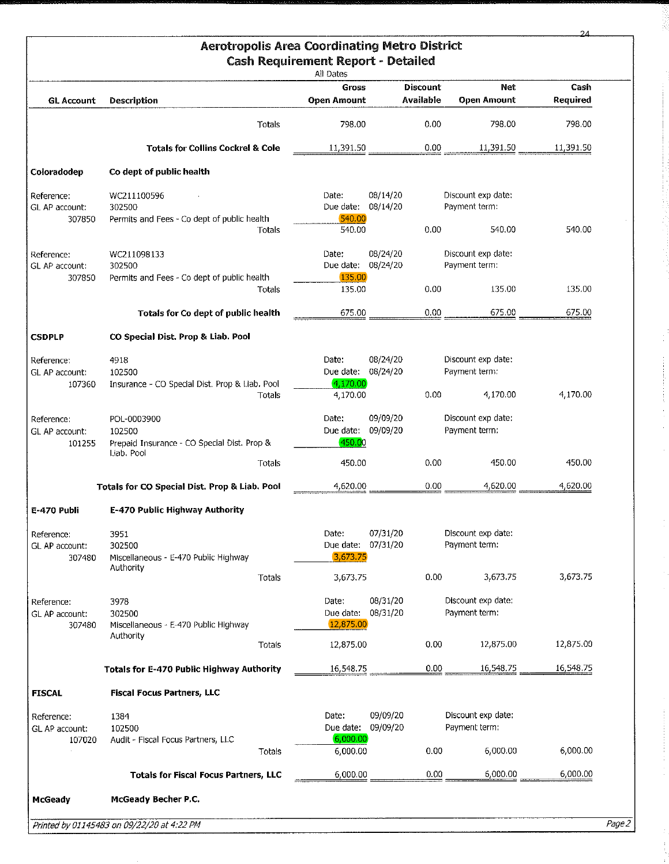| <b>Aerotropolis Area Coordinating Metro District</b><br><b>Cash Requirement Report - Detailed</b><br>All Dates |                                                                      |                                         |                                     |      |                                     |                  |  |  |
|----------------------------------------------------------------------------------------------------------------|----------------------------------------------------------------------|-----------------------------------------|-------------------------------------|------|-------------------------------------|------------------|--|--|
| <b>GL Account</b>                                                                                              | Description                                                          | <b>Gross</b><br><b>Open Amount</b>      | <b>Discount</b><br><b>Available</b> |      | Net<br><b>Open Amount</b>           | Cash<br>Required |  |  |
|                                                                                                                | Totals                                                               | 798.00                                  |                                     | 0.00 | 798.00                              | 798.00           |  |  |
|                                                                                                                | <b>Totals for Collins Cockrel &amp; Cole</b>                         | 11,391.50                               |                                     | 0.00 | 11,391.50                           | 11,391.50        |  |  |
| Coloradodep                                                                                                    | Co dept of public health                                             |                                         |                                     |      |                                     |                  |  |  |
| Reference:<br>GL AP account:<br>307850                                                                         | WC211100596<br>302500<br>Permits and Fees - Co dept of public health | Date:<br>Due date: 08/14/20<br>540.00   | 08/14/20                            |      | Discount exp date:<br>Payment term: |                  |  |  |
|                                                                                                                | Totals                                                               | 540.00                                  |                                     | 0.00 | 540,00                              | 540.00           |  |  |
| Reference:<br>GL AP account:                                                                                   | WC211098133<br>302500                                                | Date:<br>Due date: 08/24/20             | 08/24/20                            |      | Discount exp date:<br>Payment term: |                  |  |  |
| 307850                                                                                                         | Permits and Fees - Co dept of public health<br>Totals                | 135,00<br>135.00                        |                                     | 0.00 | 135.00                              | 135.00           |  |  |
|                                                                                                                | Totals for Co dept of public health                                  | 675.00                                  |                                     | 0.00 | 675.00                              | 675.00           |  |  |
| <b>CSDPLP</b>                                                                                                  | CO Special Dist. Prop & Liab. Pool                                   |                                         |                                     |      |                                     |                  |  |  |
| Reference:<br>GL AP account:<br>107360                                                                         | 4918<br>102500<br>Insurance - CO Special Dist. Prop & Liab. Pool     | Date:<br>Due date: 08/24/20<br>4,170.00 | 08/24/20                            |      | Discount exp date:<br>Payment term: |                  |  |  |
|                                                                                                                | Totals                                                               | 4,170.00                                |                                     | 0.00 | 4,170.00                            | 4,170.00         |  |  |
| Reference:<br>GL AP account:<br>101255                                                                         | POL-0003900<br>102500<br>Prepaid Insurance - CO Special Dist. Prop & | Date:<br>Due date: 09/09/20<br>450.00   | 09/09/20                            |      | Discount exp date:<br>Payment term: |                  |  |  |
|                                                                                                                | Liab. Pool<br>Totals                                                 | 450.00                                  |                                     | 0.00 | 450.00                              | 450.00           |  |  |
|                                                                                                                | Totals for CO Special Dist. Prop & Liab. Pool                        | 4,620.00                                |                                     | 0.00 | 4,620.00                            | 4,620.00         |  |  |
| E-470 Publi                                                                                                    | E-470 Public Highway Authority                                       |                                         |                                     |      |                                     |                  |  |  |
| Reference:<br>GL AP account:<br>307480                                                                         | 3951<br>302500<br>Miscellaneous - E-470 Public Highway               | Date:<br>Due date: 07/31/20<br>3,673.75 | 07/31/20                            |      | Discount exp date:<br>Payment term: |                  |  |  |
|                                                                                                                | Authority<br>Totals                                                  | 3,673.75                                |                                     | 0.00 | 3,673.75                            | 3,673.75         |  |  |
| Reference:<br>GL AP account:<br>307480                                                                         | 3978<br>302500<br>Miscellaneous - E-470 Public Highway               | Date:<br>Due date:<br>12,875.00         | 08/31/20<br>08/31/20                |      | Discount exp date:<br>Payment term: |                  |  |  |
|                                                                                                                | Authority<br>Totals                                                  | 12,875.00                               |                                     | 0.00 | 12,875.00                           | 12,875.00        |  |  |
|                                                                                                                | Totals for E-470 Public Highway Authority                            | 16,548.75                               |                                     | 0.00 | 16,548.75                           | 16,548.75        |  |  |
| <b>FISCAL</b>                                                                                                  | <b>Fiscal Focus Partners, LLC</b>                                    |                                         |                                     |      |                                     |                  |  |  |
| Reference:<br>GL AP account:<br>107020                                                                         | 1384<br>102500<br>Audit - Fiscal Focus Partners, LLC                 | Date:<br>Due date:<br>6,000.00          | 09/09/20<br>09/09/20                |      | Discount exp date:<br>Payment term: |                  |  |  |
|                                                                                                                | Totals                                                               | 6,000.00                                |                                     | 0.00 | 6,000.00                            | 6,000.00         |  |  |
|                                                                                                                | <b>Totals for Fiscal Focus Partners, LLC</b>                         | 6,000.00                                |                                     | 0.00 | 6,000.00                            | 6,000.00         |  |  |
| McGeady                                                                                                        | McGeady Becher P.C.                                                  |                                         |                                     |      |                                     |                  |  |  |

3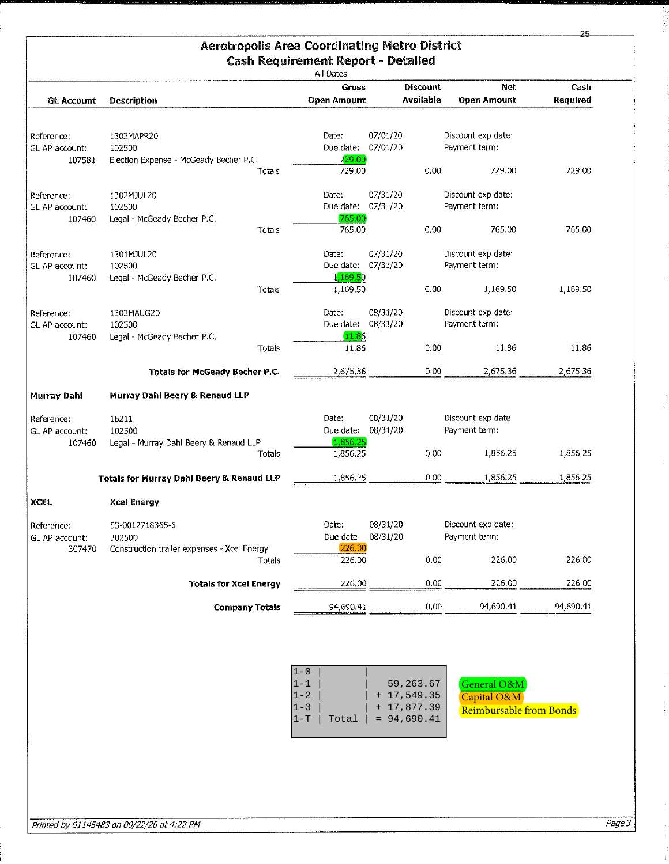|                                        |                                                                          |                       | <b>Aerotropolis Area Coordinating Metro District</b><br><b>Cash Requirement Report - Detailed</b><br>All Dates |                                                             |                                                       |           |
|----------------------------------------|--------------------------------------------------------------------------|-----------------------|----------------------------------------------------------------------------------------------------------------|-------------------------------------------------------------|-------------------------------------------------------|-----------|
|                                        |                                                                          |                       | <b>Gross</b>                                                                                                   | <b>Discount</b>                                             | <b>Net</b>                                            | Cash      |
| <b>GL Account</b>                      | <b>Description</b>                                                       |                       | <b>Open Amount</b>                                                                                             | <b>Available</b>                                            | Open Amount                                           | Required  |
| Reference:<br>GL AP account:<br>107581 | 1302MAPR20<br>102500<br>Election Expense - McGeady Becher P.C.           |                       | Date:<br>Due date:<br>729.00                                                                                   | 07/01/20<br>07/01/20                                        | Discount exp date:<br>Payment term:                   |           |
|                                        |                                                                          | Totals                | 729.00                                                                                                         | 0.00                                                        | 729.00                                                | 729.00    |
| Reference:<br>GL AP account:<br>107460 | 1302MJUL20<br>102500<br>Legal - McGeady Becher P.C.                      |                       | Date:<br>Due date:<br>765.00                                                                                   | 07/31/20<br>07/31/20                                        | Discount exp date:<br>Payment term:                   |           |
|                                        |                                                                          | Totals                | 765.00                                                                                                         | 0.00                                                        | 765.00                                                | 765.00    |
| Reference:<br>GL AP account:<br>107460 | 1301MJUL20<br>102500<br>Legal - McGeady Becher P.C.                      |                       | Date:<br>Due date:<br>1 <mark>,169.5</mark> 0                                                                  | 07/31/20<br>07/31/20                                        | Discount exp date:<br>Payment term:                   |           |
|                                        |                                                                          | Totals                | 1,169.50                                                                                                       | 0.00                                                        | 1,169.50                                              | 1,169.50  |
| Reference:<br>GL AP account:<br>107460 | 1302MAUG20<br>102500<br>Legal - McGeady Becher P.C.                      |                       | Date:<br>Due date:<br>11.86                                                                                    | 08/31/20<br>08/31/20                                        | Discount exp date:<br>Payment term:                   |           |
|                                        |                                                                          | Totals                | 11.86                                                                                                          | 0.00                                                        | 11.86                                                 | 11.86     |
|                                        | Totals for McGeady Becher P.C.                                           |                       | 2,675.36                                                                                                       | 0.00                                                        | 2,675.36                                              | 2,675.36  |
| <b>Murray Dahl</b>                     | Murray Dahl Beery & Renaud LLP                                           |                       |                                                                                                                |                                                             |                                                       |           |
| Reference :<br>GL AP account:          | 16211<br>102500                                                          |                       | Date:<br>Due date:<br>1,856.25                                                                                 | 08/31/20<br>08/31/20                                        | Discount exp date:<br>Payment term:                   |           |
| 107460                                 | Legal - Murray Dahl Beery & Renaud LLP                                   | Totals                | 1,856.25                                                                                                       | 0.00                                                        | 1,856.25                                              | 1,856.25  |
|                                        | <b>Totals for Murray Dahl Beery &amp; Renaud LLP</b>                     |                       | 1,856.25                                                                                                       | 0.00                                                        | 1,856.25                                              | 1,856.25  |
| XCEL.                                  | <b>Xcel Energy</b>                                                       |                       |                                                                                                                |                                                             |                                                       |           |
| Reference:<br>GL AP account:<br>307470 | 53-0012718365-6<br>302500<br>Construction trailer expenses - Xcel Energy |                       | Date:<br>Due date: 08/31/20<br>226,00                                                                          | 08/31/20                                                    | Discount exp date:<br>Payment term:                   |           |
|                                        |                                                                          | Totals                | 226.00                                                                                                         | 0.00                                                        | 226.00                                                | 226.00    |
|                                        | <b>Totals for Xcel Energy</b>                                            |                       | 226.00                                                                                                         | 0.00                                                        | 226,00                                                | 226,00    |
|                                        |                                                                          | <b>Company Totals</b> | 94,690.41                                                                                                      | 0.00                                                        | 94,690.41                                             | 94,690.41 |
|                                        |                                                                          |                       | $1 - 0$<br>$1 - 1$<br>$1 - 2$<br>$1 - 3$<br>$1-T$<br>Total                                                     | 59, 263.67<br>$+17,549.35$<br>$+17,877.39$<br>$= 94,690.41$ | General O&M<br>Capital O&M<br>Reimbursable from Bonds |           |

25

g<br>S

÷,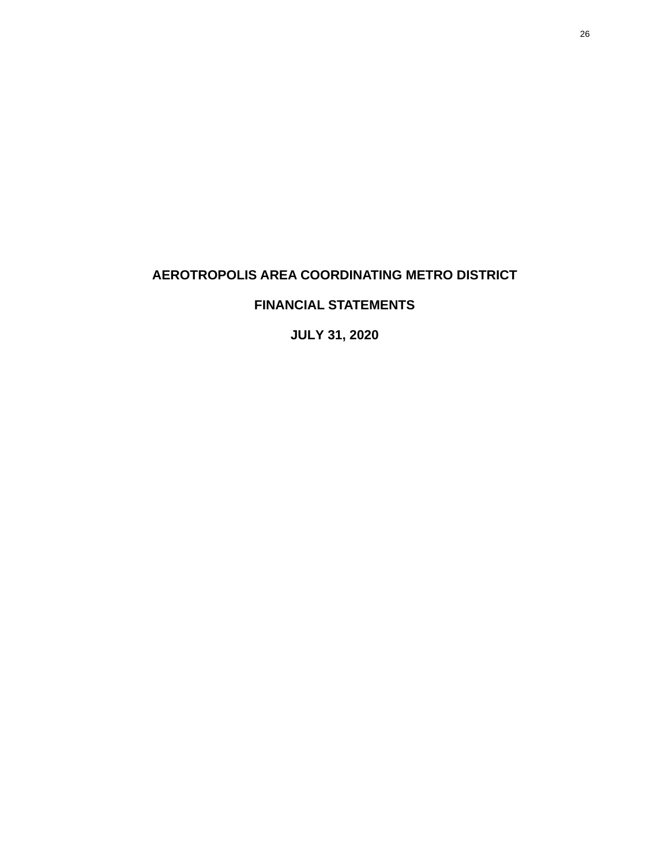# <span id="page-25-0"></span>**AEROTROPOLIS AREA COORDINATING METRO DISTRICT**

# **FINANCIAL STATEMENTS**

**JULY 31, 2020**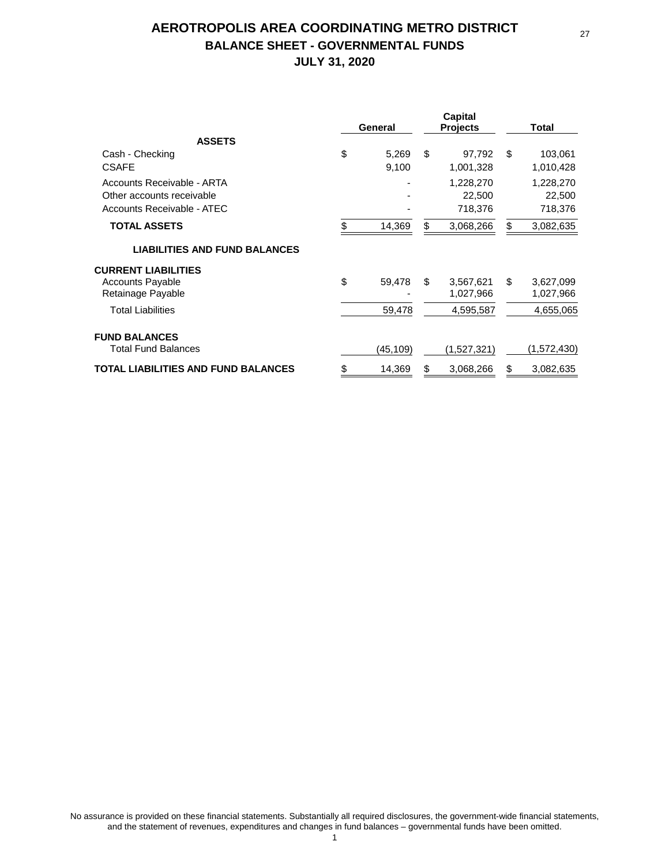# **AEROTROPOLIS AREA COORDINATING METRO DISTRICT BALANCE SHEET - GOVERNMENTAL FUNDS JULY 31, 2020**

|                                                                                       | General              |    | <b>Capital</b><br><b>Projects</b> | Total |                                |
|---------------------------------------------------------------------------------------|----------------------|----|-----------------------------------|-------|--------------------------------|
| <b>ASSETS</b>                                                                         |                      |    |                                   |       |                                |
| Cash - Checking<br><b>CSAFE</b>                                                       | \$<br>5,269<br>9,100 | \$ | 97,792<br>1,001,328               | \$    | 103,061<br>1,010,428           |
| Accounts Receivable - ARTA<br>Other accounts receivable<br>Accounts Receivable - ATEC | ٠                    |    | 1,228,270<br>22,500<br>718,376    |       | 1,228,270<br>22,500<br>718,376 |
| <b>TOTAL ASSETS</b>                                                                   | \$<br>14,369         | \$ | 3,068,266                         | \$    | 3,082,635                      |
| <b>LIABILITIES AND FUND BALANCES</b>                                                  |                      |    |                                   |       |                                |
| <b>CURRENT LIABILITIES</b><br><b>Accounts Payable</b><br>Retainage Payable            | \$<br>59,478         | \$ | 3,567,621<br>1,027,966            | \$    | 3,627,099<br>1,027,966         |
| <b>Total Liabilities</b>                                                              | 59,478               |    | 4,595,587                         |       | 4,655,065                      |
| <b>FUND BALANCES</b>                                                                  |                      |    |                                   |       |                                |
| <b>Total Fund Balances</b>                                                            | (45,109)             |    | (1,527,321)                       |       | (1,572,430)                    |
| TOTAL LIABILITIES AND FUND BALANCES                                                   | \$<br>14,369         | S  | 3,068,266                         | \$    | 3,082,635                      |

27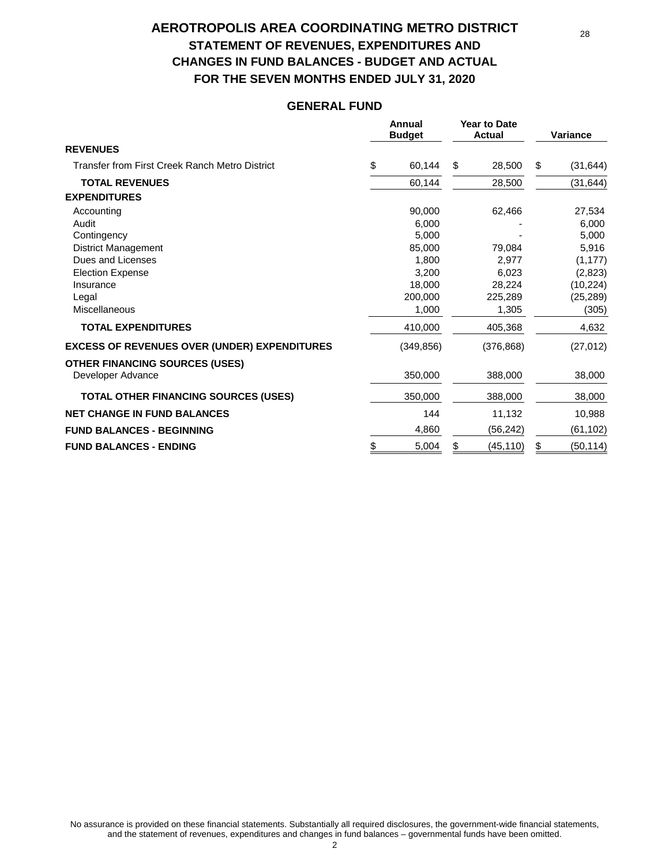# **AEROTROPOLIS AREA COORDINATING METRO DISTRICT STATEMENT OF REVENUES, EXPENDITURES AND CHANGES IN FUND BALANCES - BUDGET AND ACTUAL FOR THE SEVEN MONTHS ENDED JULY 31, 2020**

#### **GENERAL FUND**

|                                                     | Annual<br><b>Budget</b> | <b>Year to Date</b><br><b>Actual</b> |            | Variance |           |
|-----------------------------------------------------|-------------------------|--------------------------------------|------------|----------|-----------|
| <b>REVENUES</b>                                     |                         |                                      |            |          |           |
| Transfer from First Creek Ranch Metro District      | \$<br>60,144            | \$                                   | 28,500     | \$       | (31, 644) |
| <b>TOTAL REVENUES</b>                               | 60,144                  |                                      | 28,500     |          | (31,644)  |
| <b>EXPENDITURES</b>                                 |                         |                                      |            |          |           |
| Accounting                                          | 90,000                  |                                      | 62,466     |          | 27,534    |
| Audit                                               | 6,000                   |                                      |            |          | 6,000     |
| Contingency                                         | 5,000                   |                                      |            |          | 5,000     |
| <b>District Management</b>                          | 85,000                  |                                      | 79,084     |          | 5,916     |
| Dues and Licenses                                   | 1,800                   |                                      | 2,977      |          | (1, 177)  |
| <b>Election Expense</b>                             | 3,200                   |                                      | 6,023      |          | (2,823)   |
| Insurance                                           | 18,000                  |                                      | 28,224     |          | (10, 224) |
| Legal                                               | 200,000                 |                                      | 225,289    |          | (25, 289) |
| Miscellaneous                                       | 1,000                   |                                      | 1,305      |          | (305)     |
| <b>TOTAL EXPENDITURES</b>                           | 410,000                 |                                      | 405,368    |          | 4,632     |
| <b>EXCESS OF REVENUES OVER (UNDER) EXPENDITURES</b> | (349, 856)              |                                      | (376, 868) |          | (27, 012) |
| <b>OTHER FINANCING SOURCES (USES)</b>               |                         |                                      |            |          |           |
| Developer Advance                                   | 350,000                 |                                      | 388,000    |          | 38,000    |
| <b>TOTAL OTHER FINANCING SOURCES (USES)</b>         | 350,000                 |                                      | 388,000    |          | 38,000    |
| <b>NET CHANGE IN FUND BALANCES</b>                  | 144                     |                                      | 11,132     |          | 10,988    |
| <b>FUND BALANCES - BEGINNING</b>                    | 4,860                   |                                      | (56, 242)  |          | (61, 102) |
| <b>FUND BALANCES - ENDING</b>                       | \$<br>5,004             | \$                                   | (45,110)   | \$       | (50, 114) |

No assurance is provided on these financial statements. Substantially all required disclosures, the government-wide financial statements, and the statement of revenues, expenditures and changes in fund balances – governmental funds have been omitted. 2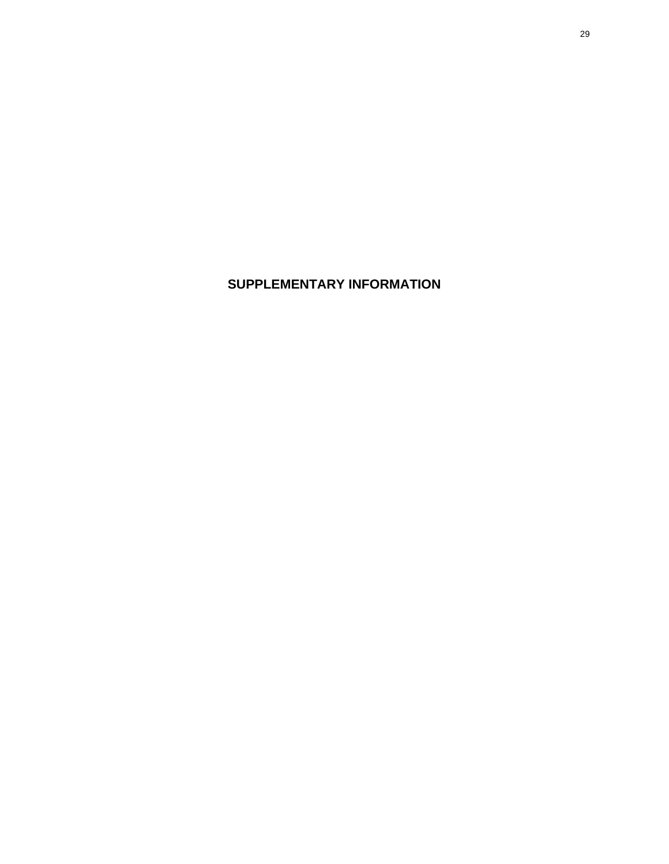**SUPPLEMENTARY INFORMATION**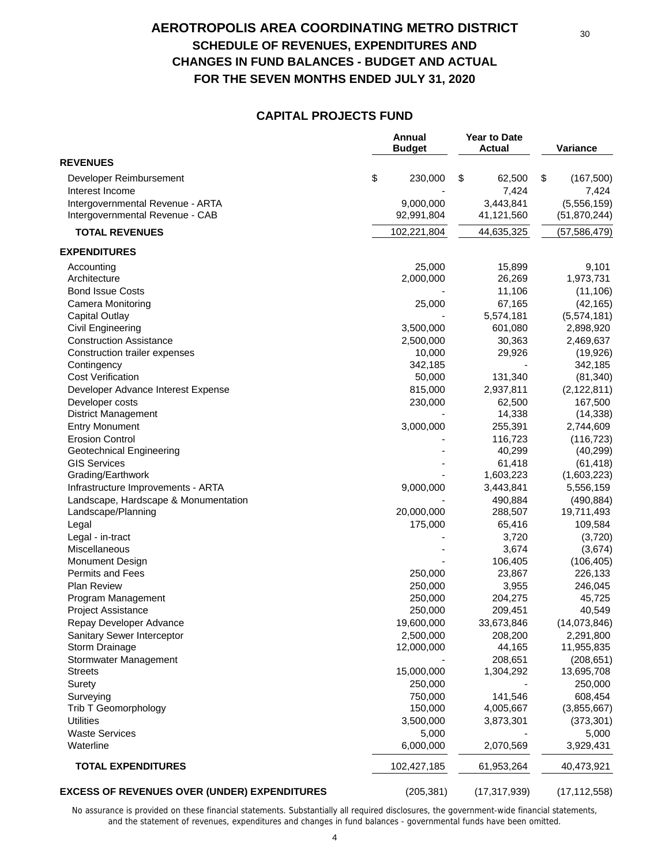## **AEROTROPOLIS AREA COORDINATING METRO DISTRICT SCHEDULE OF REVENUES, EXPENDITURES AND CHANGES IN FUND BALANCES - BUDGET AND ACTUAL FOR THE SEVEN MONTHS ENDED JULY 31, 2020**

#### **CAPITAL PROJECTS FUND**

|                                                     | Annual<br><b>Budget</b> | <b>Year to Date</b><br><b>Actual</b> | Variance           |
|-----------------------------------------------------|-------------------------|--------------------------------------|--------------------|
| <b>REVENUES</b>                                     |                         |                                      |                    |
| Developer Reimbursement                             | \$<br>230,000           | \$<br>62,500                         | \$<br>(167, 500)   |
| Interest Income                                     |                         | 7,424                                | 7,424              |
| Intergovernmental Revenue - ARTA                    | 9,000,000               | 3,443,841                            | (5,556,159)        |
| Intergovernmental Revenue - CAB                     | 92,991,804              | 41,121,560                           | (51, 870, 244)     |
| <b>TOTAL REVENUES</b>                               | 102,221,804             | 44,635,325                           | (57,586,479)       |
| <b>EXPENDITURES</b>                                 |                         |                                      |                    |
| Accounting                                          | 25,000                  | 15,899                               | 9,101              |
| Architecture                                        | 2,000,000               | 26,269                               | 1,973,731          |
| <b>Bond Issue Costs</b>                             |                         | 11,106                               | (11, 106)          |
| Camera Monitoring                                   | 25,000                  | 67,165                               | (42, 165)          |
| Capital Outlay                                      |                         | 5,574,181                            | (5,574,181)        |
| Civil Engineering                                   | 3,500,000               | 601,080                              | 2,898,920          |
| <b>Construction Assistance</b>                      | 2,500,000               | 30,363                               | 2,469,637          |
| Construction trailer expenses                       | 10,000                  | 29,926                               | (19, 926)          |
| Contingency                                         | 342,185                 |                                      | 342,185            |
| <b>Cost Verification</b>                            | 50,000                  | 131,340                              | (81, 340)          |
| Developer Advance Interest Expense                  | 815,000                 | 2,937,811                            | (2, 122, 811)      |
| Developer costs                                     | 230,000                 | 62,500                               | 167,500            |
| <b>District Management</b>                          |                         | 14,338                               | (14, 338)          |
| <b>Entry Monument</b>                               | 3,000,000               | 255,391                              | 2,744,609          |
| <b>Erosion Control</b>                              |                         | 116,723                              | (116, 723)         |
| <b>Geotechnical Engineering</b>                     |                         | 40,299                               | (40, 299)          |
| <b>GIS Services</b>                                 |                         | 61,418                               | (61, 418)          |
| Grading/Earthwork                                   |                         | 1,603,223                            | (1,603,223)        |
| Infrastructure Improvements - ARTA                  | 9,000,000               | 3,443,841                            | 5,556,159          |
| Landscape, Hardscape & Monumentation                |                         | 490,884                              | (490, 884)         |
| Landscape/Planning                                  | 20,000,000              | 288,507                              | 19,711,493         |
| Legal                                               | 175,000                 | 65,416                               | 109,584            |
| Legal - in-tract                                    |                         | 3,720                                | (3,720)            |
| Miscellaneous                                       |                         | 3,674                                | (3,674)            |
| <b>Monument Design</b>                              |                         | 106,405                              | (106, 405)         |
| <b>Permits and Fees</b>                             | 250,000                 | 23,867                               | 226,133            |
| <b>Plan Review</b>                                  | 250,000                 | 3,955                                | 246,045            |
| Program Management                                  | 250,000                 | 204,275                              | 45,725             |
| <b>Project Assistance</b>                           | 250,000                 | 209,451                              | 40,549             |
| Repay Developer Advance                             | 19,600,000              | 33,673,846                           | (14,073,846)       |
| Sanitary Sewer Interceptor                          | 2,500,000               | 208,200                              | 2,291,800          |
| Storm Drainage                                      | 12,000,000              | 44,165                               | 11,955,835         |
| Stormwater Management                               |                         | 208,651                              | (208, 651)         |
| <b>Streets</b>                                      | 15,000,000              | 1,304,292                            | 13,695,708         |
| Surety                                              | 250,000                 |                                      | 250,000            |
| Surveying                                           | 750,000                 | 141,546                              | 608,454            |
| Trib T Geomorphology                                | 150,000                 | 4,005,667                            | (3,855,667)        |
| <b>Utilities</b>                                    | 3,500,000               | 3,873,301                            | (373, 301)         |
|                                                     |                         |                                      |                    |
| <b>Waste Services</b><br>Waterline                  | 5,000<br>6,000,000      | 2,070,569                            | 5,000<br>3,929,431 |
|                                                     |                         |                                      |                    |
| <b>TOTAL EXPENDITURES</b>                           | 102,427,185             | 61,953,264                           | 40,473,921         |
| <b>EXCESS OF REVENUES OVER (UNDER) EXPENDITURES</b> | (205, 381)              | (17, 317, 939)                       | (17, 112, 558)     |

No assurance is provided on these financial statements. Substantially all required disclosures, the government-wide financial statements, and the statement of revenues, expenditures and changes in fund balances - governmental funds have been omitted.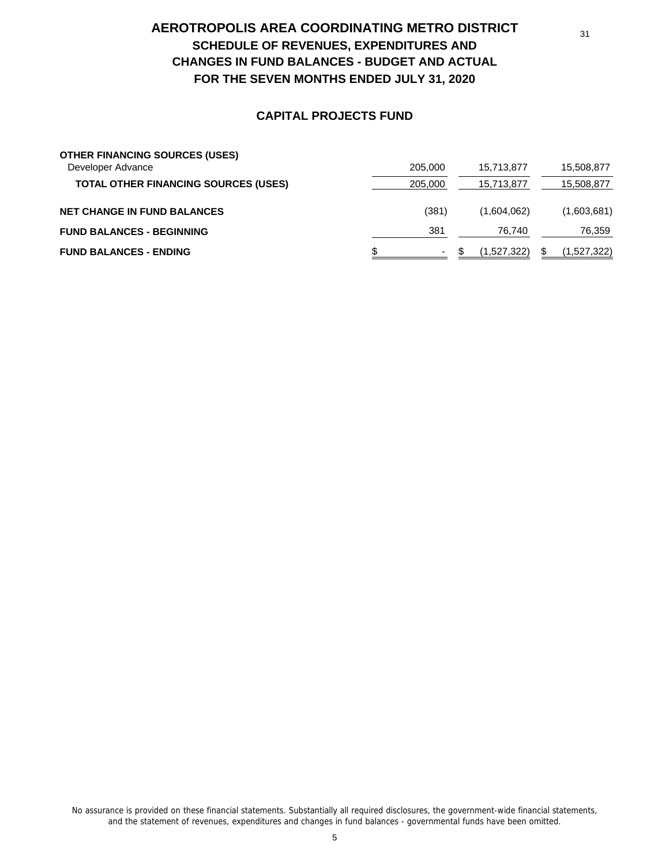# **AEROTROPOLIS AREA COORDINATING METRO DISTRICT SCHEDULE OF REVENUES, EXPENDITURES AND CHANGES IN FUND BALANCES - BUDGET AND ACTUAL FOR THE SEVEN MONTHS ENDED JULY 31, 2020**

#### **CAPITAL PROJECTS FUND**

| <b>OTHER FINANCING SOURCES (USES)</b>       |         |             |             |
|---------------------------------------------|---------|-------------|-------------|
| Developer Advance                           | 205,000 | 15.713.877  | 15,508,877  |
| <b>TOTAL OTHER FINANCING SOURCES (USES)</b> | 205,000 | 15,713,877  | 15,508,877  |
| <b>NET CHANGE IN FUND BALANCES</b>          | (381)   | (1,604,062) | (1,603,681) |
| <b>FUND BALANCES - BEGINNING</b>            | 381     | 76.740      | 76,359      |
| <b>FUND BALANCES - ENDING</b>               | ۰       | (1.527.322) | (1,527,322) |

No assurance is provided on these financial statements. Substantially all required disclosures, the government-wide financial statements, and the statement of revenues, expenditures and changes in fund balances - governmental funds have been omitted.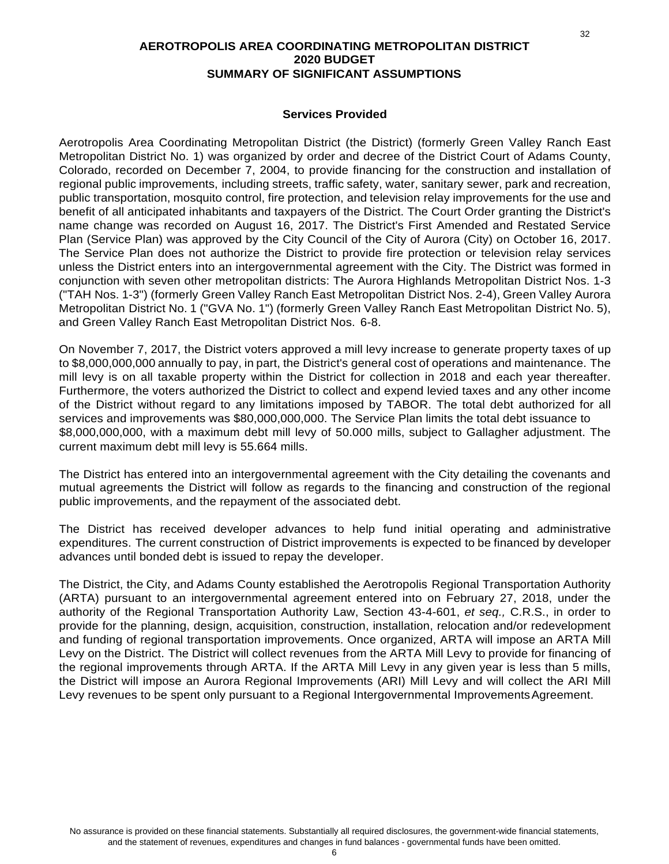#### **AEROTROPOLIS AREA COORDINATING METROPOLITAN DISTRICT 2020 BUDGET SUMMARY OF SIGNIFICANT ASSUMPTIONS**

#### **Services Provided**

Aerotropolis Area Coordinating Metropolitan District (the District) (formerly Green Valley Ranch East Metropolitan District No. 1) was organized by order and decree of the District Court of Adams County, Colorado, recorded on December 7, 2004, to provide financing for the construction and installation of regional public improvements, including streets, traffic safety, water, sanitary sewer, park and recreation, public transportation, mosquito control, fire protection, and television relay improvements for the use and benefit of all anticipated inhabitants and taxpayers of the District. The Court Order granting the District's name change was recorded on August 16, 2017. The District's First Amended and Restated Service Plan (Service Plan) was approved by the City Council of the City of Aurora (City) on October 16, 2017. The Service Plan does not authorize the District to provide fire protection or television relay services unless the District enters into an intergovernmental agreement with the City. The District was formed in conjunction with seven other metropolitan districts: The Aurora Highlands Metropolitan District Nos. 1-3 ("TAH Nos. 1-3") (formerly Green Valley Ranch East Metropolitan District Nos. 2-4), Green Valley Aurora Metropolitan District No. 1 ("GVA No. 1") (formerly Green Valley Ranch East Metropolitan District No. 5), and Green Valley Ranch East Metropolitan District Nos. 6-8.

On November 7, 2017, the District voters approved a mill levy increase to generate property taxes of up to \$8,000,000,000 annually to pay, in part, the District's general cost of operations and maintenance. The mill levy is on all taxable property within the District for collection in 2018 and each year thereafter. Furthermore, the voters authorized the District to collect and expend levied taxes and any other income of the District without regard to any limitations imposed by TABOR. The total debt authorized for all services and improvements was \$80,000,000,000. The Service Plan limits the total debt issuance to \$8,000,000,000, with a maximum debt mill levy of 50.000 mills, subject to Gallagher adjustment. The current maximum debt mill levy is 55.664 mills.

The District has entered into an intergovernmental agreement with the City detailing the covenants and mutual agreements the District will follow as regards to the financing and construction of the regional public improvements, and the repayment of the associated debt.

The District has received developer advances to help fund initial operating and administrative expenditures. The current construction of District improvements is expected to be financed by developer advances until bonded debt is issued to repay the developer.

The District, the City, and Adams County established the Aerotropolis Regional Transportation Authority (ARTA) pursuant to an intergovernmental agreement entered into on February 27, 2018, under the authority of the Regional Transportation Authority Law, Section 43-4-601, *et seq.,* C.R.S., in order to provide for the planning, design, acquisition, construction, installation, relocation and/or redevelopment and funding of regional transportation improvements. Once organized, ARTA will impose an ARTA Mill Levy on the District. The District will collect revenues from the ARTA Mill Levy to provide for financing of the regional improvements through ARTA. If the ARTA Mill Levy in any given year is less than 5 mills, the District will impose an Aurora Regional Improvements (ARI) Mill Levy and will collect the ARI Mill Levy revenues to be spent only pursuant to a Regional Intergovernmental Improvements Agreement.

32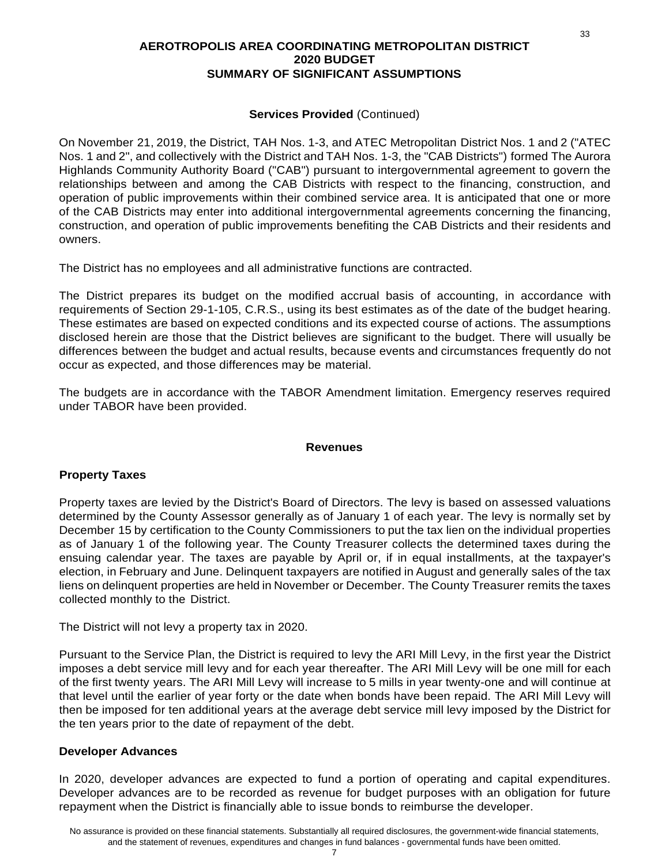#### **AEROTROPOLIS AREA COORDINATING METROPOLITAN DISTRICT 2020 BUDGET SUMMARY OF SIGNIFICANT ASSUMPTIONS**

#### **Services Provided** (Continued)

On November 21, 2019, the District, TAH Nos. 1-3, and ATEC Metropolitan District Nos. 1 and 2 ("ATEC Nos. 1 and 2", and collectively with the District and TAH Nos. 1-3, the "CAB Districts") formed The Aurora Highlands Community Authority Board ("CAB") pursuant to intergovernmental agreement to govern the relationships between and among the CAB Districts with respect to the financing, construction, and operation of public improvements within their combined service area. It is anticipated that one or more of the CAB Districts may enter into additional intergovernmental agreements concerning the financing, construction, and operation of public improvements benefiting the CAB Districts and their residents and owners.

The District has no employees and all administrative functions are contracted.

The District prepares its budget on the modified accrual basis of accounting, in accordance with requirements of Section 29-1-105, C.R.S., using its best estimates as of the date of the budget hearing. These estimates are based on expected conditions and its expected course of actions. The assumptions disclosed herein are those that the District believes are significant to the budget. There will usually be differences between the budget and actual results, because events and circumstances frequently do not occur as expected, and those differences may be material.

The budgets are in accordance with the TABOR Amendment limitation. Emergency reserves required under TABOR have been provided.

#### **Revenues**

#### **Property Taxes**

Property taxes are levied by the District's Board of Directors. The levy is based on assessed valuations determined by the County Assessor generally as of January 1 of each year. The levy is normally set by December 15 by certification to the County Commissioners to put the tax lien on the individual properties as of January 1 of the following year. The County Treasurer collects the determined taxes during the ensuing calendar year. The taxes are payable by April or, if in equal installments, at the taxpayer's election, in February and June. Delinquent taxpayers are notified in August and generally sales of the tax liens on delinquent properties are held in November or December. The County Treasurer remits the taxes collected monthly to the District.

The District will not levy a property tax in 2020.

Pursuant to the Service Plan, the District is required to levy the ARI Mill Levy, in the first year the District imposes a debt service mill levy and for each year thereafter. The ARI Mill Levy will be one mill for each of the first twenty years. The ARI Mill Levy will increase to 5 mills in year twenty-one and will continue at that level until the earlier of year forty or the date when bonds have been repaid. The ARI Mill Levy will then be imposed for ten additional years at the average debt service mill levy imposed by the District for the ten years prior to the date of repayment of the debt.

#### **Developer Advances**

In 2020, developer advances are expected to fund a portion of operating and capital expenditures. Developer advances are to be recorded as revenue for budget purposes with an obligation for future repayment when the District is financially able to issue bonds to reimburse the developer.

33

#### 7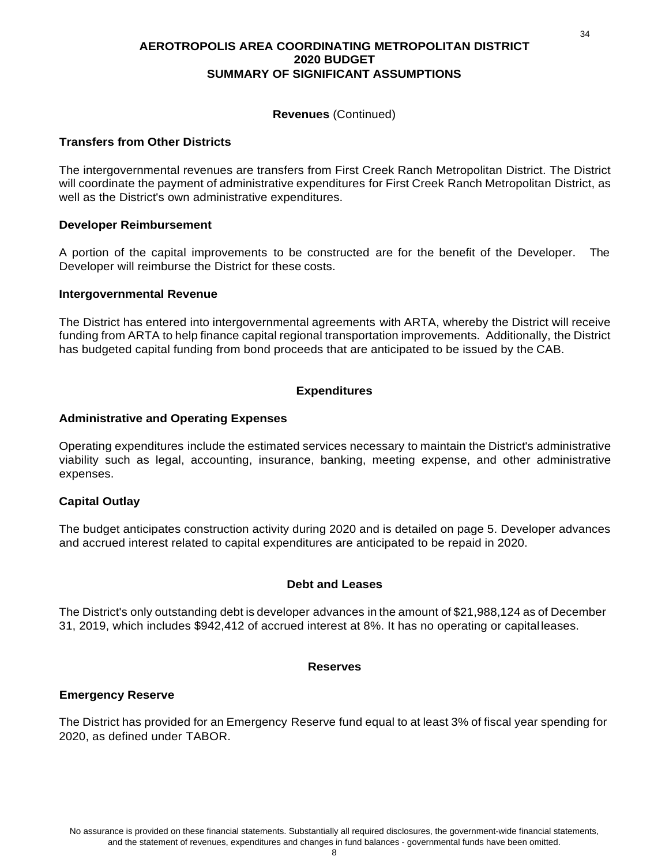#### **AEROTROPOLIS AREA COORDINATING METROPOLITAN DISTRICT 2020 BUDGET SUMMARY OF SIGNIFICANT ASSUMPTIONS**

#### **Revenues** (Continued)

#### **Transfers from Other Districts**

The intergovernmental revenues are transfers from First Creek Ranch Metropolitan District. The District will coordinate the payment of administrative expenditures for First Creek Ranch Metropolitan District, as well as the District's own administrative expenditures.

#### **Developer Reimbursement**

A portion of the capital improvements to be constructed are for the benefit of the Developer. The Developer will reimburse the District for these costs.

#### **Intergovernmental Revenue**

The District has entered into intergovernmental agreements with ARTA, whereby the District will receive funding from ARTA to help finance capital regional transportation improvements. Additionally, the District has budgeted capital funding from bond proceeds that are anticipated to be issued by the CAB.

#### **Expenditures**

#### **Administrative and Operating Expenses**

Operating expenditures include the estimated services necessary to maintain the District's administrative viability such as legal, accounting, insurance, banking, meeting expense, and other administrative expenses.

#### **Capital Outlay**

The budget anticipates construction activity during 2020 and is detailed on page 5. Developer advances and accrued interest related to capital expenditures are anticipated to be repaid in 2020.

#### **Debt and Leases**

The District's only outstanding debt is developer advances in the amount of \$21,988,124 as of December 31, 2019, which includes \$942,412 of accrued interest at 8%. It has no operating or capital leases.

#### **Reserves**

#### **Emergency Reserve**

The District has provided for an Emergency Reserve fund equal to at least 3% of fiscal year spending for 2020, as defined under TABOR.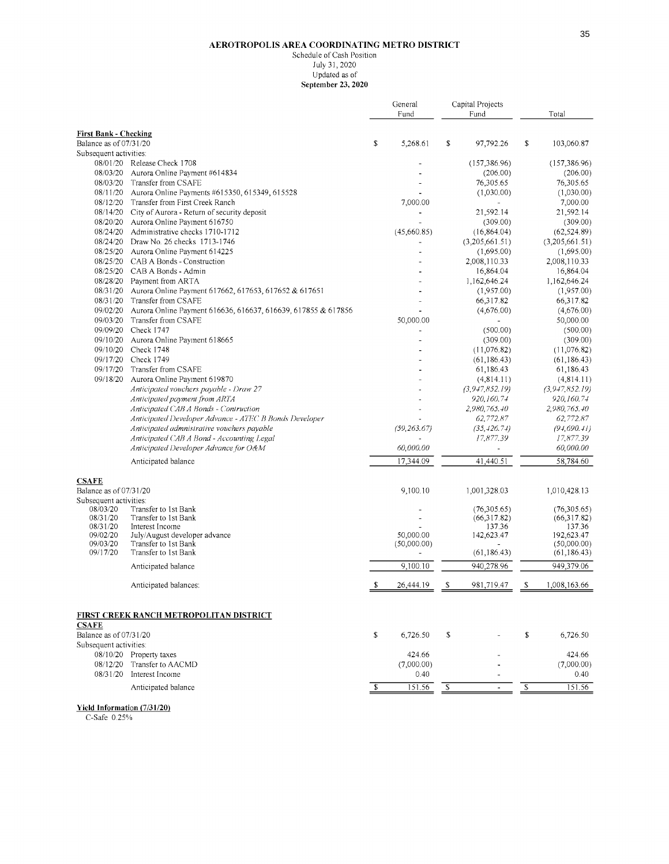#### AEROTROPOLIS AREA COORDINATING METRO DISTRICT

Schedule of Cash Position July 31, 2020 Updated as of September 23, 2020

|                                    |                                                                             | General                 |              | Capital Projects         |                              |                         |                             |
|------------------------------------|-----------------------------------------------------------------------------|-------------------------|--------------|--------------------------|------------------------------|-------------------------|-----------------------------|
|                                    |                                                                             |                         | Fund         |                          | Fund                         |                         | Total                       |
| <b>First Bank - Checking</b>       |                                                                             |                         |              |                          |                              |                         |                             |
| Balance as of 07/31/20             |                                                                             | \$                      | 5,268.61     | \$                       | 97,792.26                    | \$                      | 103,060.87                  |
| Subsequent activities:             |                                                                             |                         |              |                          |                              |                         |                             |
|                                    | 08/01/20 Release Check 1708                                                 |                         |              |                          | (157, 386.96)                |                         | (157, 386.96)               |
| 08/03/20                           | Aurora Online Payment #614834                                               |                         |              |                          | (206.00)                     |                         | (206.00)                    |
|                                    | 08/03/20 Transfer from CSAFE                                                |                         |              |                          | 76,305.65                    |                         | 76,305.65                   |
| 08/11/20                           | Aurora Online Payments #615350, 615349, 615528                              |                         |              |                          | (1,030.00)                   |                         | (1,030.00)                  |
| 08/12/20                           | Transfer from First Creek Ranch                                             |                         | 7,000.00     |                          |                              |                         | 7,000.00                    |
| 08/14/20<br>08/20/20               | City of Aurora - Return of security deposit<br>Aurora Online Payment 616750 |                         |              |                          | 21,592.14<br>(309.00)        |                         | 21,592.14<br>(309.00)       |
| 08/24/20                           | Administrative checks 1710-1712                                             |                         | (45,660.85)  |                          | (16, 864.04)                 |                         | (62, 524.89)                |
|                                    | 08/24/20 Draw No. 26 checks 1713-1746                                       |                         |              |                          | (3,205,661.51)               |                         | (3,205,661.51)              |
| 08/25/20                           | Aurora Online Payment 614225                                                |                         |              |                          | (1,695.00)                   |                         | (1,695.00)                  |
| 08/25/20                           | CAB A Bonds - Construction                                                  |                         |              |                          | 2,008,110.33                 |                         | 2,008,110.33                |
|                                    | 08/25/20 CAB A Bonds - Admin                                                |                         |              |                          | 16,864.04                    |                         | 16,864.04                   |
| 08/28/20                           | Payment from ARTA                                                           |                         |              |                          | 1,162,646.24                 |                         | 1,162,646.24                |
| 08/31/20                           | Aurora Online Payment 617662, 617653, 617652 & 617651                       |                         |              |                          | (1,957.00)                   |                         | (1,957.00)                  |
| 08/31/20                           | Transfer from CSAFE                                                         |                         |              |                          | 66,317.82                    |                         | 66,317.82                   |
| 09/02/20                           | Aurora Online Payment 616636, 616637, 616639, 617855 & 617856               |                         |              |                          | (4,676.00)                   |                         | (4,676.00)                  |
| 09/03/20                           | Transfer from CSAFE                                                         |                         | 50,000.00    |                          |                              |                         | 50,000.00                   |
| 09/09/20                           | Check 1747                                                                  |                         |              |                          | (500.00)                     |                         | (500.00)                    |
| 09/10/20                           | Aurora Online Payment 618665<br>Check 1748                                  |                         |              |                          | (309.00)                     |                         | (309.00)                    |
| 09/10/20<br>09/17/20               | Check 1749                                                                  |                         |              |                          | (11, 076.82)<br>(61, 186.43) |                         | (11,076.82)<br>(61, 186.43) |
| 09/17/20                           | Transfer from CSAFE                                                         |                         |              |                          | 61,186.43                    |                         | 61,186.43                   |
| 09/18/20                           | Aurora Online Pavinent 619870                                               |                         |              |                          | (4,814.11)                   |                         | (4,814.11)                  |
|                                    | Anticipated vouchers payable - Draw 27                                      |                         |              |                          | (3,947,852.19)               |                         | (3, 947, 852.19)            |
|                                    | Anticipated payment from ARTA                                               |                         |              |                          | 920,160.74                   |                         | 920,160.74                  |
|                                    | Anticipated CAB A Bonds - Contruction                                       |                         |              |                          | 2,980,765.40                 |                         | 2,980,765.40                |
|                                    | Anticipated Developer Advance - ATEC B Bonds Developer                      |                         |              |                          | 62,772.87                    |                         | 62,772.87                   |
|                                    | Anticipated admnistrative vouchers payable                                  |                         | (59, 263.67) |                          | (35, 426.74)                 |                         | (94, 690.41)                |
|                                    | Anticipated CAB A Bond - Accounting Legal                                   |                         |              |                          | 17,877.39                    |                         | 17,877.39                   |
|                                    | Anticipated Developer Advance for O&M                                       |                         | 60,000.00    |                          |                              |                         | 60,000.00                   |
|                                    | Anticipated balance                                                         |                         | 17,344.09    |                          | 41,440.51                    |                         | 58,784.60                   |
| <b>CSAFE</b>                       |                                                                             |                         |              |                          |                              |                         |                             |
| Balance as of 07/31/20             |                                                                             |                         | 9,100.10     |                          | 1,001,328.03                 |                         | 1,010,428.13                |
| Subsequent activities:<br>08/03/20 | Transfer to 1st Bank                                                        |                         |              |                          | (76,305.65)                  |                         | (76,305.65)                 |
| 08/31/20                           | Transfer to 1st Bank                                                        |                         |              |                          | (66,317.82)                  |                         | (66,317.82)                 |
| 08/31/20                           | Interest Income                                                             |                         |              |                          | 137.36                       |                         | 137.36                      |
| 09/02/20                           | July/August developer advance                                               |                         | 50,000.00    |                          | 142,623.47                   |                         | 192,623.47                  |
| 09/03/20<br>09/17/20               | Transfer to 1st Bank<br>Transfer to 1st Bank                                |                         | (50,000.00)  |                          | ä.<br>(61, 186.43)           |                         | (50,000.00)<br>(61, 186.43) |
|                                    | Anticipated balance                                                         |                         | 9,100.10     |                          | 940,278.96                   |                         | 949,379.06                  |
|                                    |                                                                             |                         |              |                          |                              |                         |                             |
|                                    | Anticipated balances:                                                       | \$                      | 26,444.19    | \$                       | 981,719.47                   | \$                      | 1,008,163.66                |
|                                    | FIRST CREEK RANCH METROPOLITAN DISTRICT                                     |                         |              |                          |                              |                         |                             |
| <b>CSAFE</b>                       |                                                                             |                         |              |                          |                              |                         |                             |
| Balance as of 07/31/20             |                                                                             | \$                      | 6,726.50     | $\mathbb{S}$             |                              | \$                      | 6,726.50                    |
| Subsequent activities:             |                                                                             |                         |              |                          |                              |                         |                             |
|                                    | 08/10/20 Property taxes                                                     |                         | 424.66       |                          |                              |                         | 424.66                      |
| 08/12/20                           | Transfer to AACMD                                                           |                         | (7,000.00)   |                          |                              |                         | (7,000.00)                  |
|                                    | 08/31/20 Interest Income                                                    |                         | 0.40         |                          |                              |                         | 0.40                        |
|                                    | Anticipated balance                                                         | $\overline{\mathbf{s}}$ | 151.56       | $\overline{\mathcal{S}}$ |                              | $\overline{\mathbb{S}}$ | 151.56                      |

Yield Information (7/31/20)

C-Safe 0.25%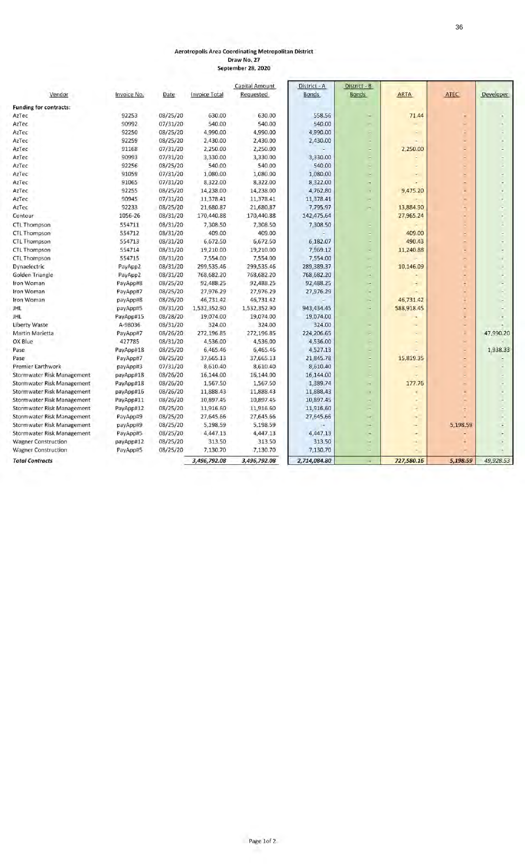#### Aerotropolis Area Coordinating Metropolitan District

Draw No.27 September 28, 2020

<span id="page-35-0"></span>

| Vendor                            | Invoice No. | Date     | <b>Invoice Total</b> | Capital Amount<br>Requested | District - A<br><b>Bonds</b> | District - B<br><b>Bonds</b> | <b>ARTA</b> | ATEC     | Developer |
|-----------------------------------|-------------|----------|----------------------|-----------------------------|------------------------------|------------------------------|-------------|----------|-----------|
|                                   |             |          |                      |                             |                              |                              |             |          |           |
| <b>Funding for contracts:</b>     |             |          |                      |                             |                              |                              |             |          |           |
| AzTec                             | 92253       | 08/25/20 | 630.00               | 630.00                      | 558.56                       |                              | 71.44       | ۳        |           |
| AzTec                             | 90992       | 07/31/20 | 540.00               | 540.00                      | 540.00                       |                              |             |          |           |
| AzTec                             | 92250       | 08/25/20 | 4,990.00             | 4,990.00                    | 4,990.00                     | ۰                            |             |          |           |
| AzTec                             | 92259       | 08/25/20 | 2,430.00             | 2,430.00                    | 2,430.00                     |                              |             |          |           |
| AzTec                             | 91168       | 07/31/20 | 2,250.00             | 2,250.00                    |                              |                              | 2,250.00    |          |           |
| AzTec                             | 90993       | 07/31/20 | 3,330.00             | 3,330.00                    | 3,330.00                     | ×                            |             |          |           |
| AzTec                             | 92256       | 08/25/20 | 540.00               | 540.00                      | 540.00                       |                              |             |          |           |
| AzTec                             | 91059       | 07/31/20 | 1,080.00             | 1,080.00                    | 1,080.00                     | ×                            |             | ×        |           |
| AzTec                             | 91065       | 07/31/20 | 8,322.00             | 8,322.00                    | 8,322.00                     | ÷                            |             |          |           |
| AzTec                             | 92255       | 08/25/20 | 14,238.00            | 14,238.00                   | 4,762.80                     | $\frac{1}{2}$                | 9,475.20    |          |           |
| AzTec                             | 90945       | 07/31/20 | 11,378.41            | 11,378.41                   | 11,378.41                    | ×.                           |             |          |           |
| AzTec                             | 92233       | 08/25/20 | 21,680.87            | 21,680.87                   | 7,795.97                     | m.                           | 13,884.90   | ۰        |           |
| Contour                           | 1056-26     | 08/31/20 | 170,440.88           | 170,440.88                  | 142,475.64                   |                              | 27,965.24   |          |           |
| <b>CTL Thompson</b>               | 554711      | 08/31/20 | 7,308.50             | 7,308.50                    | 7,308.50                     | ٠                            |             |          |           |
| CTL Thompson                      | 554712      | 08/31/20 | 409.00               | 409.00                      |                              |                              | 409.00      | ×        |           |
| <b>CTL Thompson</b>               | 554713      | 08/31/20 | 6,672.50             | 6,672.50                    | 6,182.07                     |                              | 490.43      |          |           |
| CTL Thompson                      | 554714      | 08/31/20 | 19,210.00            | 19,210.00                   | 7,969.12                     | ä,                           | 11,240.88   |          |           |
| CTL Thompson                      | 554715      | 08/31/20 | 7,554.00             | 7,554.00                    | 7,554.00                     | ۰                            |             |          |           |
| Dynaelectric                      | PayApp2     | 08/31/20 | 299,535.46           | 299,535.46                  | 289,389.37                   | ×                            | 10,146.09   | ÷        |           |
| Golden Triangle                   | PayApp2     | 08/31/20 | 768,682.20           | 768,682.20                  | 768,682.20                   | ×.                           |             |          |           |
| Iron Woman                        | PayApp#8    | 08/25/20 | 92,488.25            | 92,488.25                   | 92,488.25                    | m.                           |             |          |           |
| Iron Woman                        | PayApp#7    | 08/25/20 | 27,976.29            | 27,976.29                   | 27,976.29                    | ÷                            |             |          |           |
| Iron Woman                        | payApp#8    | 08/26/20 | 46,731.42            | 46,731.42                   |                              | ÷                            | 46,731.42   |          |           |
| JHL                               | payApp#5    | 08/31/20 | 1,532,352.90         | 1,532,352.90                | 943,434.45                   | ٠                            | 588,918.45  |          |           |
| JHL                               | PayApp#15   | 08/28/20 | 19,074.00            | 19,074.00                   | 19,074.00                    |                              |             |          |           |
| <b>Liberty Waste</b>              | A-98036     | 08/31/20 | 324.00               | 324.00                      | 324.00                       | ۰                            |             |          |           |
| Martin Marietta                   | PayApp#7    | 08/26/20 | 272,196.85           | 272,196.85                  | 224,206.65                   |                              |             | Ŀ,       | 47,990.20 |
| OX Blue                           | 427785      | 08/31/20 | 4,536.00             | 4,536.00                    | 4,536.00                     |                              |             | ×        |           |
| Pase                              | PayApp#18   | 08/25/20 | 6,465.46             | 6,465.46                    | 4,527.13                     | ٠                            |             | ×        | 1,938.33  |
| Pase                              | PayApp#7    | 08/25/20 | 37,665.13            | 37,665.13                   | 21,845.78                    | ۰                            | 15,819.35   | ×        |           |
| <b>Premier Earthwork</b>          | payApp#3    | 07/31/20 | 8,610.40             | 8,610.40                    | 8,610.40                     |                              |             |          |           |
| Stormwater Risk Management        | payApp#18   | 08/26/20 | 16,144.00            | 16,144.00                   | 16,144.00                    |                              |             |          |           |
| Stormwater Risk Management        | PayApp#18   | 08/26/20 | 1,567.50             | 1,567.50                    | 1,389.74                     | ×                            | 177.76      | ×        |           |
| <b>Stormwater Risk Management</b> | payApp#16   | 08/26/20 | 11,888.43            | 11,888.43                   | 11,888.43                    | $\tau$                       |             |          |           |
| Stormwater Risk Management        | PayApp#11   | 08/26/20 | 10,897.45            | 10,897.45                   | 10,897.45                    | H.                           |             |          |           |
| Stormwater Risk Management        | PayApp#12   | 08/25/20 | 11,916.60            | 11,916.60                   | 11,916.60                    | m.                           |             |          |           |
| Stormwater Risk Management        | PayApp#9    | 08/25/20 | 27,645.66            | 27,645.66                   | 27,645.66                    | ٠                            |             |          |           |
| Stormwater Risk Management        | payApp#9    | 08/25/20 | 5,198.59             | 5,198.59                    |                              | ÷                            | u,          | 5,198.59 |           |
| Stormwater Risk Management        | PayApp#5    | 08/25/20 | 4,447.13             | 4,447.13                    | 4,447.13                     | ۰                            | ÷.          |          |           |
| <b>Wagner Construction</b>        | payApp#12   | 08/25/20 | 313.50               | 313.50                      | 313.50                       | ×.                           | ÷           |          |           |
| <b>Wagner Construction</b>        | PayApp#5    | 08/25/20 | 7,130.70             | 7,130.70                    | 7,130.70                     | ÷                            |             |          |           |
| <b>Total Contracts</b>            |             |          | 3,496,792.08         | 3,496,792.08                | 2,714,084.80                 |                              | 727,580.16  | 5,198.59 | 49,928.53 |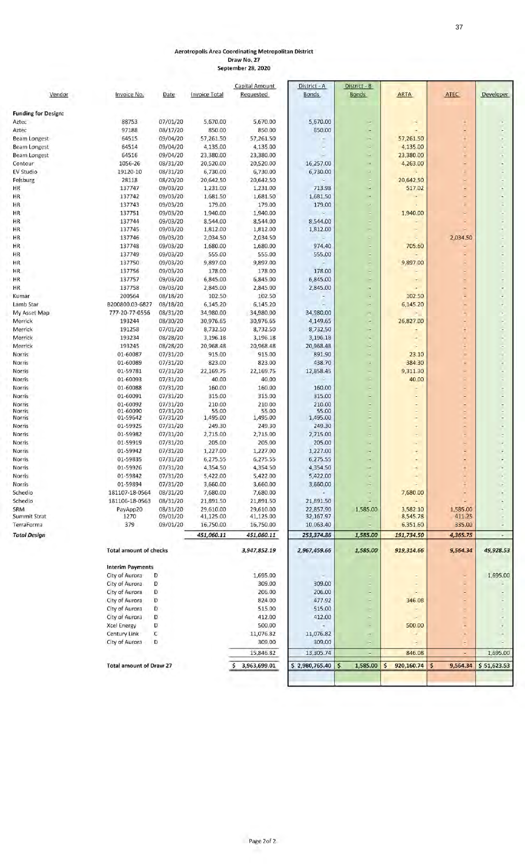#### Aerotropolis Area Coordinating Metropolitan District Draw No.27

September 28, 2020

|                            |                                |          |                      | Capital Amount | District - A   | District - B             |                 |               |             |
|----------------------------|--------------------------------|----------|----------------------|----------------|----------------|--------------------------|-----------------|---------------|-------------|
| Vendor                     | Invoice No.                    | Date     | <b>Invoice Total</b> | Requested      | <b>Bonds</b>   | <b>Bonds</b>             | <b>ARTA</b>     | ATEC          | Developer   |
|                            |                                |          |                      |                |                |                          |                 |               |             |
| <b>Funding for Design:</b> | 88753                          | 07/01/20 | 5,670.00             | 5,670.00       | 5,670.00       |                          |                 |               |             |
| Aztec<br>Aztec             | 97188                          | 08/17/20 | 850.00               | 850.00         | 850.00         | ۰                        |                 | $\sim$        |             |
| <b>Beam Longest</b>        | 64515                          | 09/04/20 | 57,261.50            | 57,261.50      |                |                          | 57,261.50       |               |             |
| <b>Beam Longest</b>        | 64514                          | 09/04/20 | 4,135.00             | 4,135.00       |                | ×                        | 4,135.00        |               |             |
| <b>Beam Longest</b>        | 64516                          | 09/04/20 | 23,380.00            | 23,380.00      |                | ×                        | 23,380.00       |               |             |
| Contour                    | 1056-26                        | 08/31/20 | 20,520.00            | 20,520.00      | 16,257.00      | ×.                       | 4,263.00        |               |             |
| EV Studio                  | 19120-10                       | 08/31/20 | 6,730.00             | 6,730.00       | 6,730.00       | ÷                        |                 |               |             |
| Felsburg                   | 28118                          | 08/20/20 | 20,642.50            | 20,642.50      |                |                          | 20,642.50       |               |             |
| HR.                        | 137747                         | 09/03/20 | 1,231.00             | 1,231.00       | 713.98         | ×                        | 517.02          |               |             |
| HR.                        | 137742                         | 09/03/20 | 1,681.50             | 1,681.50       | 1,681.50       | ×.                       |                 | ×             |             |
| HR                         | 137743                         | 09/03/20 | 179.00               | 179.00         | 179.00         |                          |                 |               |             |
| HR                         | 137751                         | 09/03/20 | 1,940.00             | 1,940.00       |                | ٠                        | 1,940.00        |               |             |
| HR                         | 137744                         | 09/03/20 | 8,544.00             | 8,544.00       | 8,544.00       |                          |                 |               |             |
| HR.                        | 137745                         | 09/03/20 | 1,812.00             | 1,812.00       | 1,812.00       |                          |                 |               |             |
| HR                         | 137746                         | 09/03/20 | 2,034.50             | 2,034.50       |                |                          |                 | 2,034.50      |             |
| HR                         | 137748                         | 09/03/20 | 1,680.00             | 1,680.00       | 974.40         |                          | 705.60          |               |             |
| HR                         | 137749                         | 09/03/20 | 555.00               | 555.00         | 555.00         |                          |                 |               |             |
| HR                         | 137750                         | 09/03/20 | 9,897.00             | 9,897.00       |                | ۰                        | 9,897.00        |               |             |
| ΗR                         | 137756                         | 09/03/20 | 178.00               | 178.00         | 178.00         |                          |                 |               |             |
| HR                         | 137757                         | 09/03/20 | 6,845.00             | 6,845.00       | 6,845.00       | ×                        |                 | $\sim$        |             |
| HR.                        | 137758                         | 09/03/20 | 2,845.00             | 2,845.00       | 2,845.00       |                          |                 |               |             |
| Kumar                      | 200564                         | 08/18/20 | 102.50               | 102.50         |                | ×                        | 102.50          |               |             |
| Lamb Star                  | B200800.03-6827                | 08/18/20 | 6,145.20             | 6,145.20       |                | ×                        | 6,145.20        |               |             |
| My Asset Map               | 777-20-77-0556                 | 08/31/20 | 34,980.00            | 34,980.00      | 34,980.00      |                          |                 | ۸             |             |
| Merrick                    | 193244                         | 08/30/20 | 30,976.65            | 30,976.65      | 4,149.65       | ×                        | 26,827.00       |               |             |
| Merrick                    | 191258                         | 07/01/20 | 8,732.50             | 8,732.50       | 8,732.50       | -                        |                 |               |             |
| Merrick                    | 193234                         | 08/28/20 | 3,196.18             | 3,196.18       | 3,196.18       | ÷                        |                 |               |             |
| Merrick                    | 193245                         | 08/28/20 | 20,968.48            | 20,968.48      | 20,968.48      | ×                        |                 |               |             |
| Norris                     | 01-60087                       | 07/31/20 | 915.00               | 915.00         | 891.90         |                          | 23.10           | ۰             |             |
| Norris                     | 01-60089                       | 07/31/20 | 823.00               | 823.00         | 438.70         | ×                        | 384.30          | ٤             |             |
| Norris                     | 01-59781                       | 07/31/20 | 22,169.75            | 22,169.75      | 12,858.45      | ×                        | 9,311.30        | ÷             |             |
| Norris                     | 01-60093                       | 07/31/20 | 40.00                | 40.00          |                |                          | 40.00           |               |             |
| Norris                     | 01-60088                       | 07/31/20 | 160.00               | 160.00         | 160.00         |                          |                 |               |             |
| Norris                     | 01-60091                       | 07/31/20 | 315.00               | 315.00         | 315.00         |                          |                 |               |             |
| Norris                     | 01-60092                       | 07/31/20 | 210.00               | 210.00         | 210.00         |                          |                 |               |             |
| Norris                     | 01-60090                       | 07/31/20 | 55.00                | 55.00          | 55.00          |                          |                 |               |             |
| Norris                     | 01-59642                       | 07/31/20 | 1,495.00             | 1,495.00       | 1,495.00       |                          |                 |               |             |
| Norris                     | 01-59925                       | 07/31/20 | 249.30               | 249,30         | 249.30         |                          |                 |               |             |
| Norris                     | 01-59982                       | 07/31/20 | 2,715.00             | 2,715.00       | 2,715.00       |                          |                 |               |             |
| Norris                     | 01-59919                       | 07/31/20 | 205.00               | 205.00         | 205.00         | i.                       |                 |               |             |
| Norris                     | 01-59942                       | 07/31/20 | 1,227.00             | 1,227.00       | 1,227.00       |                          |                 |               |             |
| Norris                     | 01-59835                       | 07/31/20 | 6,275.55             | 6,275.55       | 6,275.55       |                          |                 | ۰             |             |
| Norris                     | 01-59926                       | 07/31/20 | 4,354.50             | 4,354.50       | 4,354.50       |                          |                 |               |             |
| Norris                     | 01-59842                       | 07/31/20 | 5,422.00             | 5,422.00       | 5,422.00       |                          |                 |               |             |
| <b>Norris</b>              | 01-59894                       | 07/31/20 | 3,660.00             | 3,660.00       | 3,660.00       |                          |                 |               |             |
| Schedio                    | 181107-18-0564                 | 08/31/20 | 7,680.00             | 7,680.00       |                |                          | 7,680.00        |               |             |
| Schedio                    | 181106-18-0563                 | 08/31/20 | 21,891.50            | 21,891.50      | 21,891.50      |                          |                 |               |             |
| SRM                        | PayApp20                       | 08/31/20 | 29,610.00            | 29,610.00      | 22,857.90      | 1,585.00                 | 3,582.10        | 1,585.00      |             |
| Summit Strat               | 1270                           | 09/01/20 | 41,125.00            | 41,125.00      | 32,167.97      |                          | 8,545.78        | 411.25        |             |
| TerraForma                 | 379                            | 09/01/20 | 16,750.00            | 16,750.00      | 10,063.40      |                          | 6,351.60        | 335.00        |             |
| <b>Total Design</b>        |                                |          | 451,060.11           | 451,060.11     | 253,374.86     | 1,585.00                 | 191,734.50      | 4,365.75      | ÷           |
|                            | <b>Total amount of checks</b>  |          |                      | 3,947,852.19   | 2,967,459.66   | 1,585.00                 | 919,314.66      | 9,564.34      | 49,928.53   |
|                            | <b>Interim Payments</b>        |          |                      |                |                |                          |                 |               |             |
|                            |                                |          |                      |                |                |                          |                 |               |             |
|                            | City of Aurora                 | D        |                      | 1,695.00       |                |                          |                 | ×             | 1,695.00    |
|                            | City of Aurora                 | D        |                      | 309.00         | 309.00         |                          |                 |               |             |
|                            | City of Aurora                 | D        |                      | 206.00         | 206.00         |                          |                 |               |             |
|                            | City of Aurora                 | D        |                      | 824.00         | 477.92         |                          | 346.08          |               |             |
|                            | City of Aurora                 | D        |                      | 515.00         | 515.00         | ×                        | ÷               | ×             |             |
|                            | City of Aurora                 | D        |                      | 412.00         | 412.00         |                          | $\sim$          |               |             |
|                            | <b>Xcel Energy</b>             | D        |                      | 500.00         |                | ×                        | 500.00          |               |             |
|                            | Century Link                   | C        |                      | 11,076.82      | 11,076.82      | ÷                        |                 |               |             |
|                            | City of Aurora                 | D        |                      | 309.00         | 309.00         | ×.                       |                 |               |             |
|                            |                                |          |                      | 15,846.82      | 13,305.74      |                          | 846.08          |               | 1,695.00    |
|                            | <b>Total amount of Draw 27</b> |          |                      | \$3,963,699.01 | \$2,980,765.40 | $\mathsf{s}$<br>1,585.00 | Ś<br>920,160.74 | s<br>9,564.34 | \$51,623.53 |
|                            |                                |          |                      |                |                |                          |                 |               |             |
|                            |                                |          |                      |                |                |                          |                 |               |             |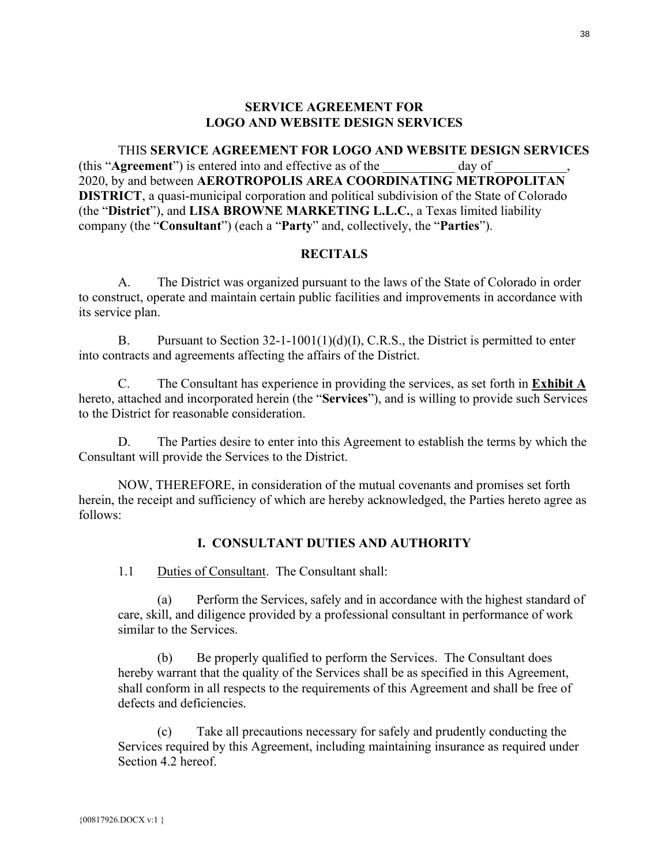### **SERVICE AGREEMENT FOR LOGO AND WEBSITE DESIGN SERVICES**

<span id="page-37-0"></span>THIS **SERVICE AGREEMENT FOR LOGO AND WEBSITE DESIGN SERVICES** (this "**Agreement**") is entered into and effective as of the day of 2020, by and between **AEROTROPOLIS AREA COORDINATING METROPOLITAN DISTRICT**, a quasi-municipal corporation and political subdivision of the State of Colorado (the "**District**"), and **LISA BROWNE MARKETING L.L.C.**, a Texas limited liability company (the "**Consultant**") (each a "**Party**" and, collectively, the "**Parties**").

#### **RECITALS**

A. The District was organized pursuant to the laws of the State of Colorado in order to construct, operate and maintain certain public facilities and improvements in accordance with its service plan.

B. Pursuant to Section  $32-1-1001(1)(d)(I)$ , C.R.S., the District is permitted to enter into contracts and agreements affecting the affairs of the District.

C. The Consultant has experience in providing the services, as set forth in **Exhibit A** hereto, attached and incorporated herein (the "**Services**"), and is willing to provide such Services to the District for reasonable consideration.

D. The Parties desire to enter into this Agreement to establish the terms by which the Consultant will provide the Services to the District.

NOW, THEREFORE, in consideration of the mutual covenants and promises set forth herein, the receipt and sufficiency of which are hereby acknowledged, the Parties hereto agree as follows:

### **I. CONSULTANT DUTIES AND AUTHORITY**

1.1 Duties of Consultant. The Consultant shall:

(a) Perform the Services, safely and in accordance with the highest standard of care, skill, and diligence provided by a professional consultant in performance of work similar to the Services.

(b) Be properly qualified to perform the Services. The Consultant does hereby warrant that the quality of the Services shall be as specified in this Agreement, shall conform in all respects to the requirements of this Agreement and shall be free of defects and deficiencies.

(c) Take all precautions necessary for safely and prudently conducting the Services required by this Agreement, including maintaining insurance as required under Section [4.2](#page-40-0) hereof.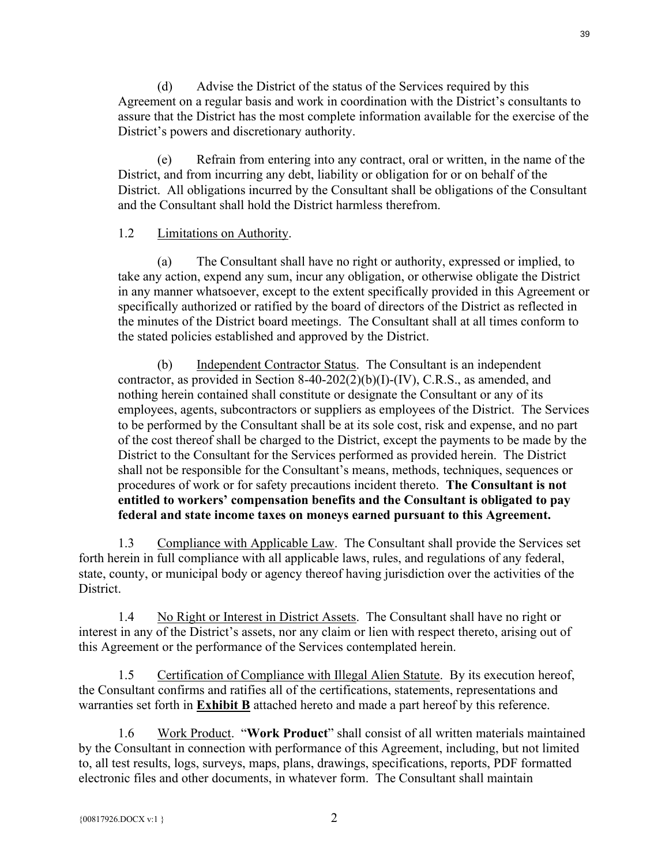(d) Advise the District of the status of the Services required by this Agreement on a regular basis and work in coordination with the District's consultants to assure that the District has the most complete information available for the exercise of the District's powers and discretionary authority.

(e) Refrain from entering into any contract, oral or written, in the name of the District, and from incurring any debt, liability or obligation for or on behalf of the District. All obligations incurred by the Consultant shall be obligations of the Consultant and the Consultant shall hold the District harmless therefrom.

#### 1.2 Limitations on Authority.

(a) The Consultant shall have no right or authority, expressed or implied, to take any action, expend any sum, incur any obligation, or otherwise obligate the District in any manner whatsoever, except to the extent specifically provided in this Agreement or specifically authorized or ratified by the board of directors of the District as reflected in the minutes of the District board meetings. The Consultant shall at all times conform to the stated policies established and approved by the District.

(b) Independent Contractor Status. The Consultant is an independent contractor, as provided in Section 8-40-202(2)(b)(I)-(IV), C.R.S., as amended, and nothing herein contained shall constitute or designate the Consultant or any of its employees, agents, subcontractors or suppliers as employees of the District. The Services to be performed by the Consultant shall be at its sole cost, risk and expense, and no part of the cost thereof shall be charged to the District, except the payments to be made by the District to the Consultant for the Services performed as provided herein. The District shall not be responsible for the Consultant's means, methods, techniques, sequences or procedures of work or for safety precautions incident thereto. **The Consultant is not entitled to workers' compensation benefits and the Consultant is obligated to pay federal and state income taxes on moneys earned pursuant to this Agreement.**

1.3 Compliance with Applicable Law. The Consultant shall provide the Services set forth herein in full compliance with all applicable laws, rules, and regulations of any federal, state, county, or municipal body or agency thereof having jurisdiction over the activities of the District.

1.4 No Right or Interest in District Assets. The Consultant shall have no right or interest in any of the District's assets, nor any claim or lien with respect thereto, arising out of this Agreement or the performance of the Services contemplated herein.

1.5 Certification of Compliance with Illegal Alien Statute. By its execution hereof, the Consultant confirms and ratifies all of the certifications, statements, representations and warranties set forth in **Exhibit B** attached hereto and made a part hereof by this reference.

<span id="page-38-0"></span>1.6 Work Product. "**Work Product**" shall consist of all written materials maintained by the Consultant in connection with performance of this Agreement, including, but not limited to, all test results, logs, surveys, maps, plans, drawings, specifications, reports, PDF formatted electronic files and other documents, in whatever form. The Consultant shall maintain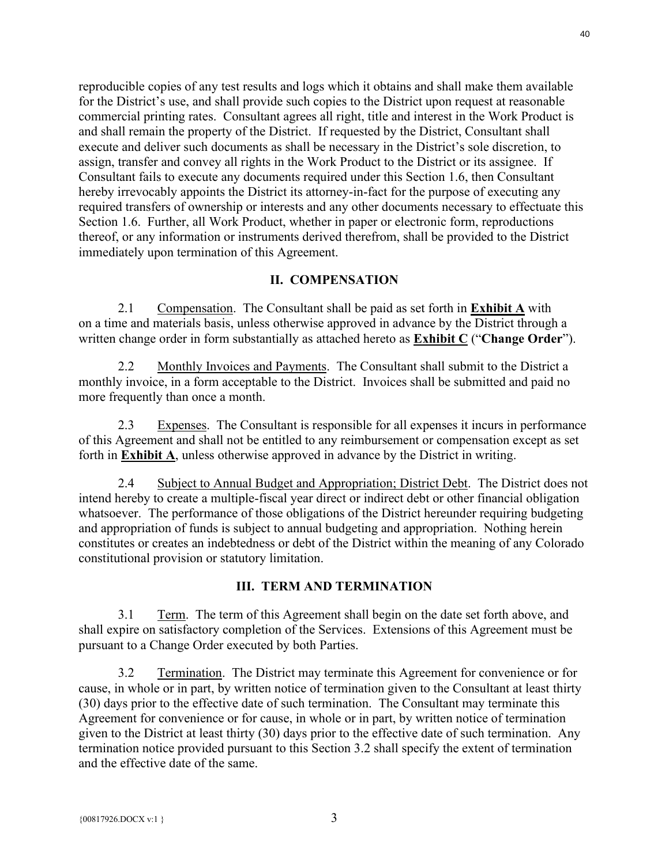reproducible copies of any test results and logs which it obtains and shall make them available for the District's use, and shall provide such copies to the District upon request at reasonable commercial printing rates. Consultant agrees all right, title and interest in the Work Product is and shall remain the property of the District. If requested by the District, Consultant shall execute and deliver such documents as shall be necessary in the District's sole discretion, to assign, transfer and convey all rights in the Work Product to the District or its assignee. If Consultant fails to execute any documents required under this Section [1.6,](#page-38-0) then Consultant hereby irrevocably appoints the District its attorney-in-fact for the purpose of executing any required transfers of ownership or interests and any other documents necessary to effectuate this Section [1.6.](#page-38-0) Further, all Work Product, whether in paper or electronic form, reproductions thereof, or any information or instruments derived therefrom, shall be provided to the District immediately upon termination of this Agreement.

#### **II. COMPENSATION**

2.1 Compensation. The Consultant shall be paid as set forth in **Exhibit A** with on a time and materials basis, unless otherwise approved in advance by the District through a written change order in form substantially as attached hereto as **Exhibit C** ("**Change Order**").

2.2 Monthly Invoices and Payments. The Consultant shall submit to the District a monthly invoice, in a form acceptable to the District. Invoices shall be submitted and paid no more frequently than once a month.

2.3 Expenses. The Consultant is responsible for all expenses it incurs in performance of this Agreement and shall not be entitled to any reimbursement or compensation except as set forth in **Exhibit A**, unless otherwise approved in advance by the District in writing.

2.4 Subject to Annual Budget and Appropriation; District Debt. The District does not intend hereby to create a multiple-fiscal year direct or indirect debt or other financial obligation whatsoever. The performance of those obligations of the District hereunder requiring budgeting and appropriation of funds is subject to annual budgeting and appropriation. Nothing herein constitutes or creates an indebtedness or debt of the District within the meaning of any Colorado constitutional provision or statutory limitation.

#### **III. TERM AND TERMINATION**

3.1 Term. The term of this Agreement shall begin on the date set forth above, and shall expire on satisfactory completion of the Services. Extensions of this Agreement must be pursuant to a Change Order executed by both Parties.

3.2 Termination. The District may terminate this Agreement for convenience or for cause, in whole or in part, by written notice of termination given to the Consultant at least thirty (30) days prior to the effective date of such termination. The Consultant may terminate this Agreement for convenience or for cause, in whole or in part, by written notice of termination given to the District at least thirty (30) days prior to the effective date of such termination. Any termination notice provided pursuant to this Section 3.2 shall specify the extent of termination and the effective date of the same.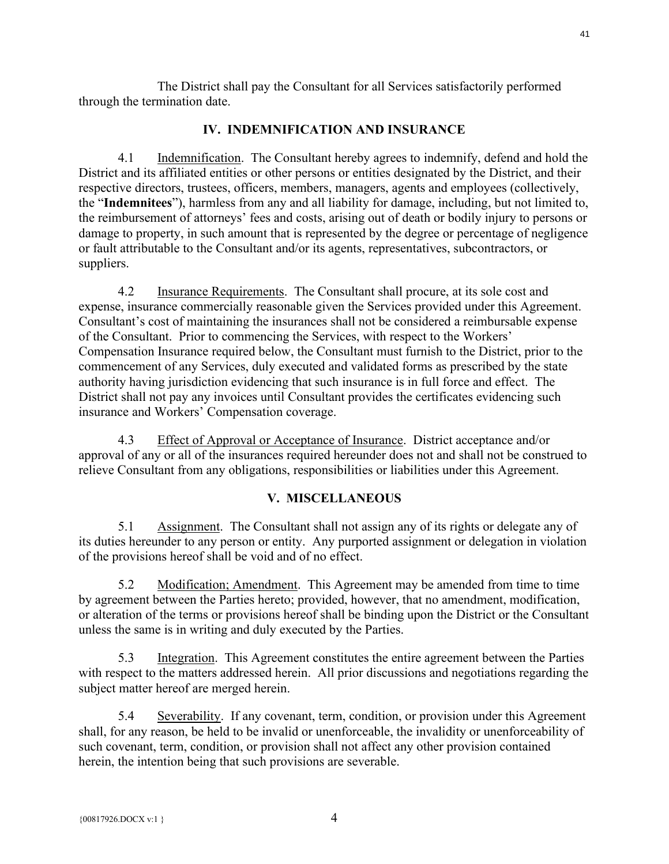The District shall pay the Consultant for all Services satisfactorily performed through the termination date.

## **IV. INDEMNIFICATION AND INSURANCE**

4.1 Indemnification. The Consultant hereby agrees to indemnify, defend and hold the District and its affiliated entities or other persons or entities designated by the District, and their respective directors, trustees, officers, members, managers, agents and employees (collectively, the "**Indemnitees**"), harmless from any and all liability for damage, including, but not limited to, the reimbursement of attorneys' fees and costs, arising out of death or bodily injury to persons or damage to property, in such amount that is represented by the degree or percentage of negligence or fault attributable to the Consultant and/or its agents, representatives, subcontractors, or suppliers.

<span id="page-40-0"></span>4.2 Insurance Requirements. The Consultant shall procure, at its sole cost and expense, insurance commercially reasonable given the Services provided under this Agreement. Consultant's cost of maintaining the insurances shall not be considered a reimbursable expense of the Consultant. Prior to commencing the Services, with respect to the Workers' Compensation Insurance required below, the Consultant must furnish to the District, prior to the commencement of any Services, duly executed and validated forms as prescribed by the state authority having jurisdiction evidencing that such insurance is in full force and effect. The District shall not pay any invoices until Consultant provides the certificates evidencing such insurance and Workers' Compensation coverage.

4.3 Effect of Approval or Acceptance of Insurance. District acceptance and/or approval of any or all of the insurances required hereunder does not and shall not be construed to relieve Consultant from any obligations, responsibilities or liabilities under this Agreement.

### **V. MISCELLANEOUS**

5.1 Assignment. The Consultant shall not assign any of its rights or delegate any of its duties hereunder to any person or entity. Any purported assignment or delegation in violation of the provisions hereof shall be void and of no effect.

5.2 Modification; Amendment. This Agreement may be amended from time to time by agreement between the Parties hereto; provided, however, that no amendment, modification, or alteration of the terms or provisions hereof shall be binding upon the District or the Consultant unless the same is in writing and duly executed by the Parties.

5.3 Integration. This Agreement constitutes the entire agreement between the Parties with respect to the matters addressed herein. All prior discussions and negotiations regarding the subject matter hereof are merged herein.

5.4 Severability. If any covenant, term, condition, or provision under this Agreement shall, for any reason, be held to be invalid or unenforceable, the invalidity or unenforceability of such covenant, term, condition, or provision shall not affect any other provision contained herein, the intention being that such provisions are severable.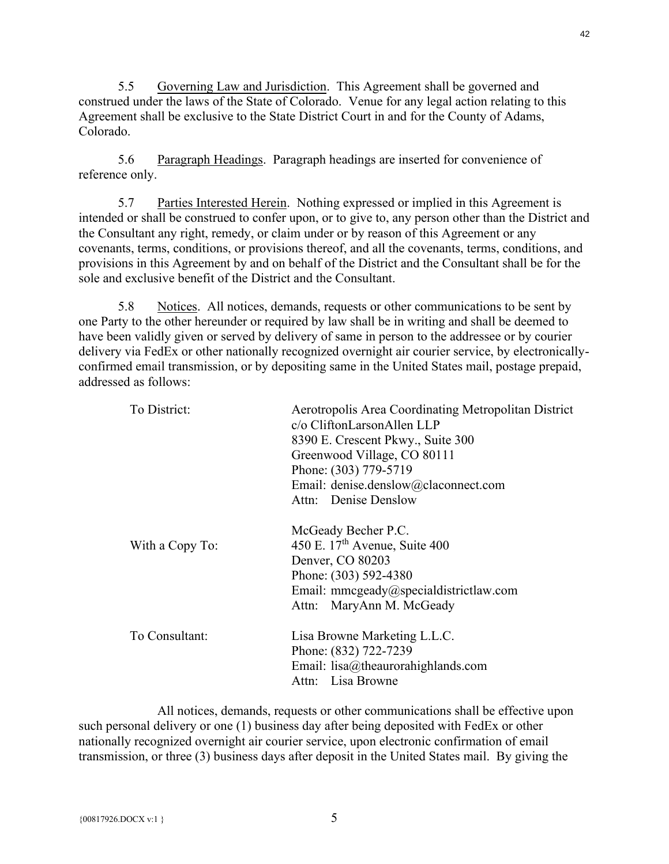5.5 Governing Law and Jurisdiction. This Agreement shall be governed and construed under the laws of the State of Colorado. Venue for any legal action relating to this Agreement shall be exclusive to the State District Court in and for the County of Adams, Colorado.

5.6 Paragraph Headings. Paragraph headings are inserted for convenience of reference only.

5.7 Parties Interested Herein. Nothing expressed or implied in this Agreement is intended or shall be construed to confer upon, or to give to, any person other than the District and the Consultant any right, remedy, or claim under or by reason of this Agreement or any covenants, terms, conditions, or provisions thereof, and all the covenants, terms, conditions, and provisions in this Agreement by and on behalf of the District and the Consultant shall be for the sole and exclusive benefit of the District and the Consultant.

5.8 Notices. All notices, demands, requests or other communications to be sent by one Party to the other hereunder or required by law shall be in writing and shall be deemed to have been validly given or served by delivery of same in person to the addressee or by courier delivery via FedEx or other nationally recognized overnight air courier service, by electronicallyconfirmed email transmission, or by depositing same in the United States mail, postage prepaid, addressed as follows:

| Aerotropolis Area Coordinating Metropolitan District<br>c/o CliftonLarsonAllen LLP<br>8390 E. Crescent Pkwy., Suite 300<br>Greenwood Village, CO 80111 |
|--------------------------------------------------------------------------------------------------------------------------------------------------------|
| Phone: (303) 779-5719                                                                                                                                  |
| Email: denise.denslow@claconnect.com                                                                                                                   |
| Attn: Denise Denslow                                                                                                                                   |
| McGeady Becher P.C.<br>450 E. $17th$ Avenue, Suite 400<br>Denver, CO 80203<br>Phone: (303) 592-4380                                                    |
| Email: mmcgeady@specialdistrictlaw.com<br>Attn: MaryAnn M. McGeady                                                                                     |
| Lisa Browne Marketing L.L.C.<br>Phone: (832) 722-7239<br>Email: $lisa@$ theaurorahighlands.com<br>Attn: Lisa Browne                                    |
|                                                                                                                                                        |

All notices, demands, requests or other communications shall be effective upon such personal delivery or one (1) business day after being deposited with FedEx or other nationally recognized overnight air courier service, upon electronic confirmation of email transmission, or three (3) business days after deposit in the United States mail. By giving the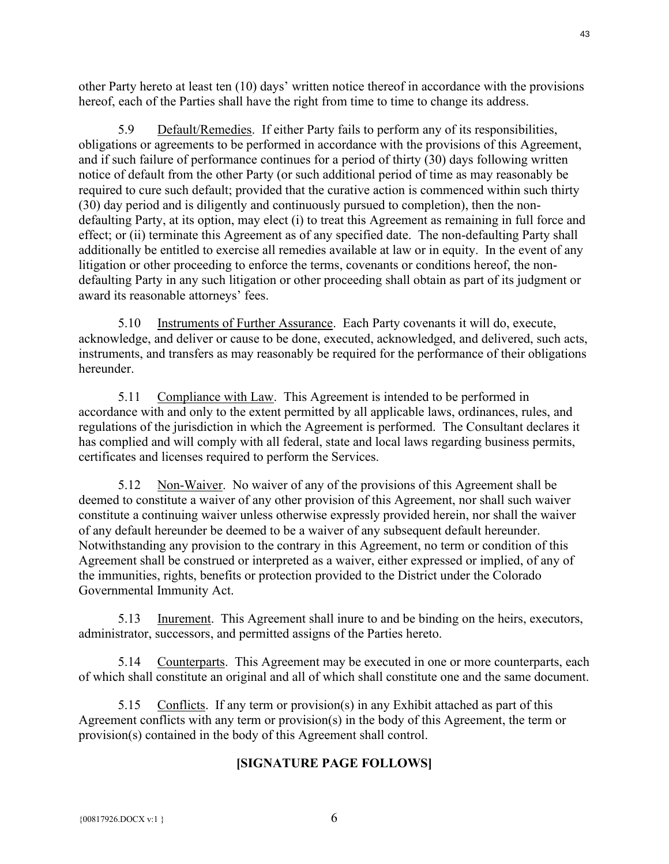other Party hereto at least ten (10) days' written notice thereof in accordance with the provisions hereof, each of the Parties shall have the right from time to time to change its address.

5.9 Default/Remedies. If either Party fails to perform any of its responsibilities, obligations or agreements to be performed in accordance with the provisions of this Agreement, and if such failure of performance continues for a period of thirty (30) days following written notice of default from the other Party (or such additional period of time as may reasonably be required to cure such default; provided that the curative action is commenced within such thirty (30) day period and is diligently and continuously pursued to completion), then the nondefaulting Party, at its option, may elect (i) to treat this Agreement as remaining in full force and effect; or (ii) terminate this Agreement as of any specified date. The non-defaulting Party shall additionally be entitled to exercise all remedies available at law or in equity. In the event of any litigation or other proceeding to enforce the terms, covenants or conditions hereof, the nondefaulting Party in any such litigation or other proceeding shall obtain as part of its judgment or award its reasonable attorneys' fees.

5.10 Instruments of Further Assurance. Each Party covenants it will do, execute, acknowledge, and deliver or cause to be done, executed, acknowledged, and delivered, such acts, instruments, and transfers as may reasonably be required for the performance of their obligations hereunder.

5.11 Compliance with Law. This Agreement is intended to be performed in accordance with and only to the extent permitted by all applicable laws, ordinances, rules, and regulations of the jurisdiction in which the Agreement is performed. The Consultant declares it has complied and will comply with all federal, state and local laws regarding business permits, certificates and licenses required to perform the Services.

5.12 Non-Waiver. No waiver of any of the provisions of this Agreement shall be deemed to constitute a waiver of any other provision of this Agreement, nor shall such waiver constitute a continuing waiver unless otherwise expressly provided herein, nor shall the waiver of any default hereunder be deemed to be a waiver of any subsequent default hereunder. Notwithstanding any provision to the contrary in this Agreement, no term or condition of this Agreement shall be construed or interpreted as a waiver, either expressed or implied, of any of the immunities, rights, benefits or protection provided to the District under the Colorado Governmental Immunity Act.

5.13 Inurement. This Agreement shall inure to and be binding on the heirs, executors, administrator, successors, and permitted assigns of the Parties hereto.

5.14 Counterparts. This Agreement may be executed in one or more counterparts, each of which shall constitute an original and all of which shall constitute one and the same document.

5.15 Conflicts. If any term or provision(s) in any Exhibit attached as part of this Agreement conflicts with any term or provision(s) in the body of this Agreement, the term or provision(s) contained in the body of this Agreement shall control.

#### **[SIGNATURE PAGE FOLLOWS]**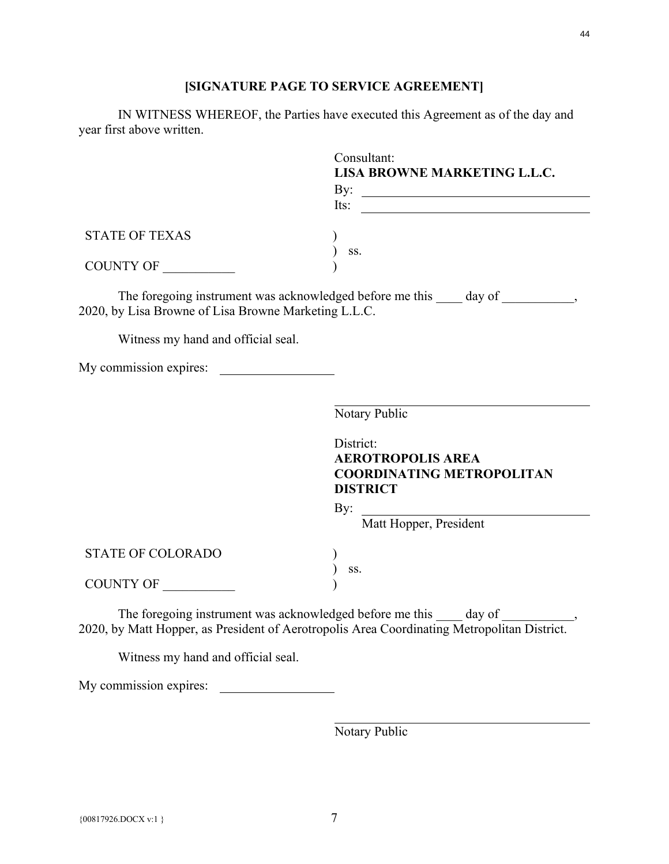# **[SIGNATURE PAGE TO SERVICE AGREEMENT]**

IN WITNESS WHEREOF, the Parties have executed this Agreement as of the day and year first above written.

|                                                      | Consultant:                                                                                 |
|------------------------------------------------------|---------------------------------------------------------------------------------------------|
|                                                      | LISA BROWNE MARKETING L.L.C.                                                                |
|                                                      | By: $\qquad \qquad$                                                                         |
|                                                      | Its: $\qquad \qquad$                                                                        |
| <b>STATE OF TEXAS</b>                                |                                                                                             |
|                                                      | SS.                                                                                         |
| COUNTY OF                                            |                                                                                             |
| 2020, by Lisa Browne of Lisa Browne Marketing L.L.C. | The foregoing instrument was acknowledged before me this _____ day of ___________,          |
| Witness my hand and official seal.                   |                                                                                             |
|                                                      |                                                                                             |
|                                                      |                                                                                             |
|                                                      | Notary Public                                                                               |
|                                                      | District:                                                                                   |
|                                                      | <b>AEROTROPOLIS AREA</b>                                                                    |
|                                                      | <b>COORDINATING METROPOLITAN</b>                                                            |
|                                                      | <b>DISTRICT</b>                                                                             |
|                                                      | By:                                                                                         |
|                                                      | Matt Hopper, President                                                                      |
| <b>STATE OF COLORADO</b>                             |                                                                                             |
|                                                      | SS.                                                                                         |
| COUNTY OF                                            |                                                                                             |
|                                                      | The foregoing instrument was acknowledged before me this day of                             |
|                                                      | 2020, by Matt Hopper, as President of Aerotropolis Area Coordinating Metropolitan District. |

Witness my hand and official seal.

My commission expires:

Notary Public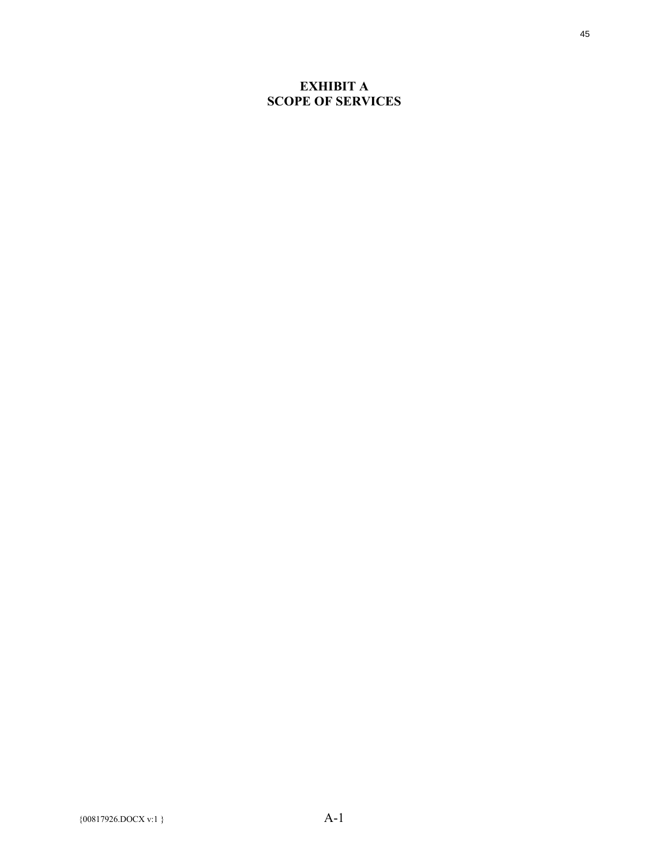## **EXHIBIT A SCOPE OF SERVICES**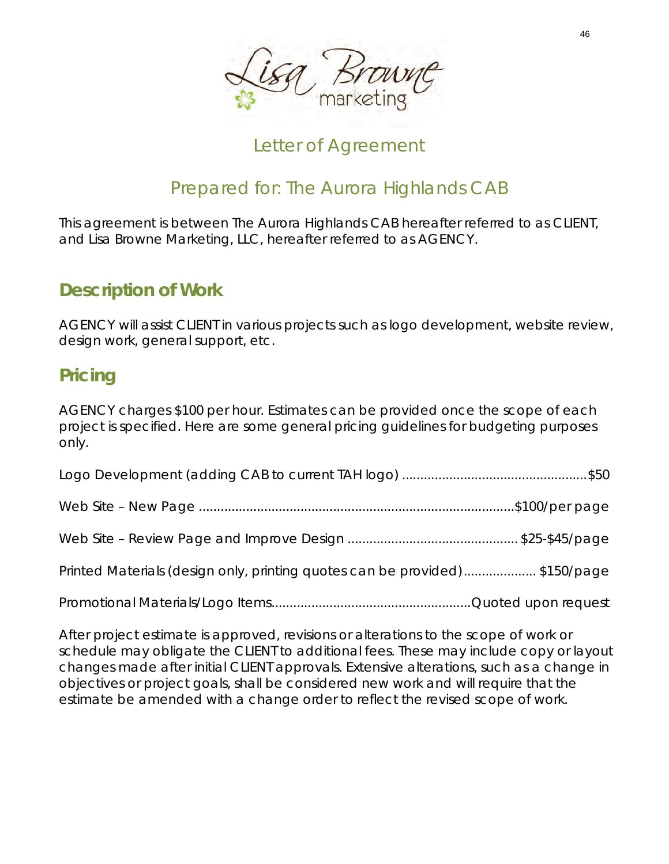

# Letter of Agreement

# Prepared for: The Aurora Highlands CAB

This agreement is between The Aurora Highlands CAB hereafter referred to as CLIENT, and Lisa Browne Marketing, LLC, hereafter referred to as AGENCY.

# *Description of Work*

AGENCY will assist CLIENT in various projects such as logo development, website review, design work, general support, etc.

# *Pricing*

AGENCY charges \$100 per hour. Estimates can be provided once the scope of each project is specified. Here are some general pricing guidelines for budgeting purposes only.

| Printed Materials (design only, printing quotes can be provided)\$150/page |  |
|----------------------------------------------------------------------------|--|
|                                                                            |  |

After project estimate is approved, revisions or alterations to the scope of work or schedule may obligate the CLIENT to additional fees. These may include copy or layout changes made after initial CLIENT approvals. Extensive alterations, such as a change in objectives or project goals, shall be considered new work and will require that the estimate be amended with a change order to reflect the revised scope of work.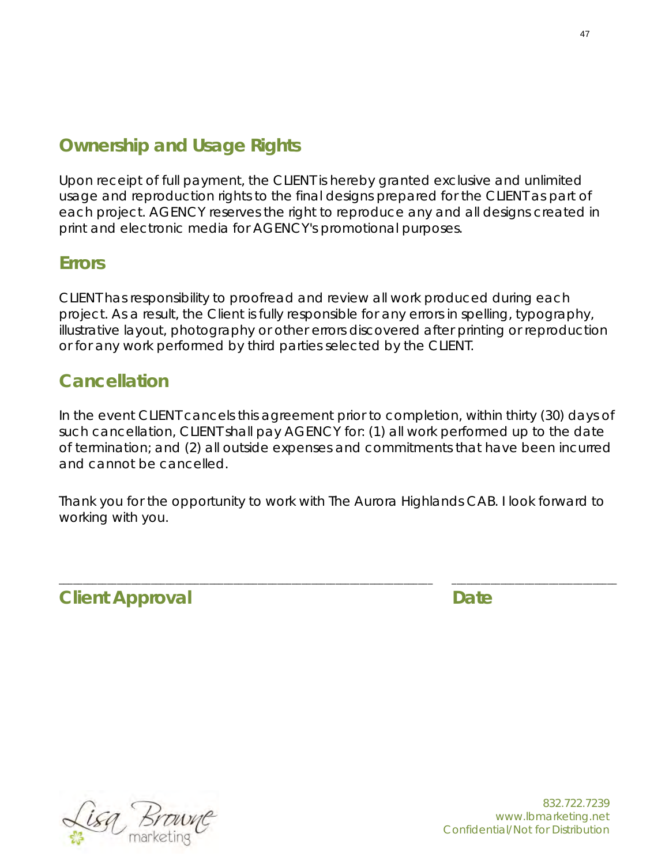# *Ownership and Usage Rights*

Upon receipt of full payment, the CLIENT is hereby granted exclusive and unlimited usage and reproduction rights to the final designs prepared for the CLIENT as part of each project. AGENCY reserves the right to reproduce any and all designs created in print and electronic media for AGENCY's promotional purposes.

# *Errors*

CLIENT has responsibility to proofread and review all work produced during each project. As a result, the Client is fully responsible for any errors in spelling, typography, illustrative layout, photography or other errors discovered after printing or reproduction or for any work performed by third parties selected by the CLIENT.

# *Cancellation*

In the event CLIENT cancels this agreement prior to completion, within thirty (30) days of such cancellation, CLIENT shall pay AGENCY for: (1) all work performed up to the date of termination; and (2) all outside expenses and commitments that have been incurred and cannot be cancelled.

Thank you for the opportunity to work with The Aurora Highlands CAB. I look forward to working with you.

\_\_\_\_\_\_\_\_\_\_\_\_\_\_\_\_\_\_\_\_\_\_\_\_\_\_\_\_\_\_\_\_\_\_\_\_\_\_\_\_\_\_\_\_\_\_\_\_\_\_\_\_\_\_\_\_\_\_\_\_\_\_\_\_\_\_\_\_\_\_\_\_\_\_\_\_\_ \_\_\_\_\_\_\_\_\_\_\_\_\_\_\_\_\_\_\_\_\_\_\_\_\_\_\_\_\_\_\_\_\_\_

*Client Approval Date*

sg Bri

832.722.7239 www.lbmarketing.net Confidential/Not for Distribution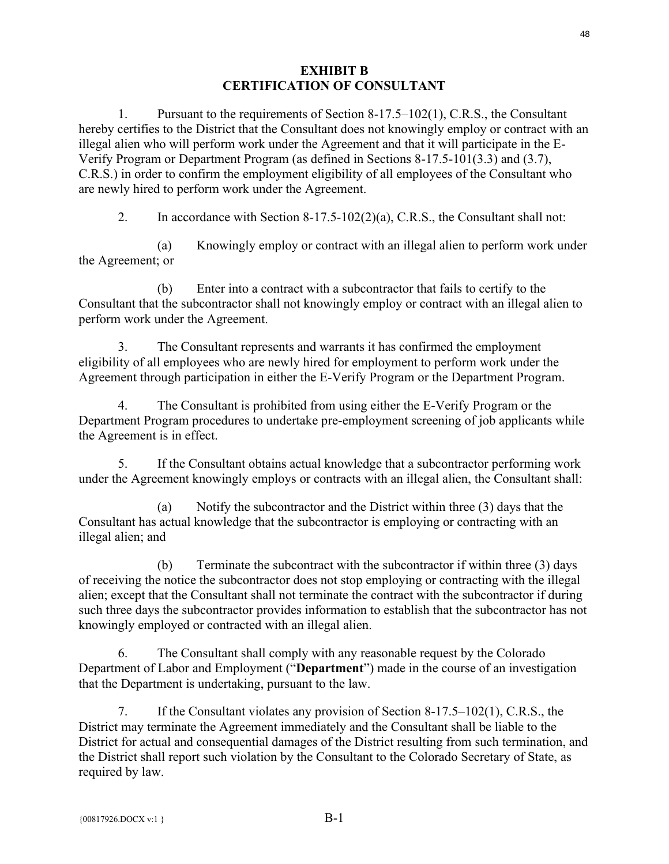#### **EXHIBIT B CERTIFICATION OF CONSULTANT**

1. Pursuant to the requirements of Section 8-17.5–102(1), C.R.S., the Consultant hereby certifies to the District that the Consultant does not knowingly employ or contract with an illegal alien who will perform work under the Agreement and that it will participate in the E-Verify Program or Department Program (as defined in Sections 8-17.5-101(3.3) and (3.7), C.R.S.) in order to confirm the employment eligibility of all employees of the Consultant who are newly hired to perform work under the Agreement.

2. In accordance with Section 8-17.5-102(2)(a), C.R.S., the Consultant shall not:

(a) Knowingly employ or contract with an illegal alien to perform work under the Agreement; or

(b) Enter into a contract with a subcontractor that fails to certify to the Consultant that the subcontractor shall not knowingly employ or contract with an illegal alien to perform work under the Agreement.

3. The Consultant represents and warrants it has confirmed the employment eligibility of all employees who are newly hired for employment to perform work under the Agreement through participation in either the E-Verify Program or the Department Program.

4. The Consultant is prohibited from using either the E-Verify Program or the Department Program procedures to undertake pre-employment screening of job applicants while the Agreement is in effect.

5. If the Consultant obtains actual knowledge that a subcontractor performing work under the Agreement knowingly employs or contracts with an illegal alien, the Consultant shall:

(a) Notify the subcontractor and the District within three (3) days that the Consultant has actual knowledge that the subcontractor is employing or contracting with an illegal alien; and

(b) Terminate the subcontract with the subcontractor if within three (3) days of receiving the notice the subcontractor does not stop employing or contracting with the illegal alien; except that the Consultant shall not terminate the contract with the subcontractor if during such three days the subcontractor provides information to establish that the subcontractor has not knowingly employed or contracted with an illegal alien.

6. The Consultant shall comply with any reasonable request by the Colorado Department of Labor and Employment ("**Department**") made in the course of an investigation that the Department is undertaking, pursuant to the law.

7. If the Consultant violates any provision of Section 8-17.5–102(1), C.R.S., the District may terminate the Agreement immediately and the Consultant shall be liable to the District for actual and consequential damages of the District resulting from such termination, and the District shall report such violation by the Consultant to the Colorado Secretary of State, as required by law.